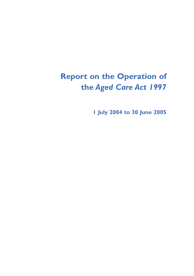## **Report on the Operation of the** *Aged Care Act 1997*

**1 July 2004 to 30 June 2005**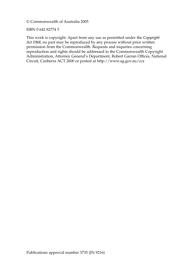© Commonwealth of Australia 2005

#### ISBN 0 642 82774 5

This work is copyright. Apart from any use as permitted under the *Copyright Act 1968*, no part may be reproduced by any process without prior written permission from the Commonwealth. Requests and inquiries concerning reproduction and rights should be addressed to the Commonwealth Copyright Administration, Attorney General's Department, Robert Garran Offices, National Circuit, Canberra ACT 2600 or posted at http://www.ag.gov.au/cca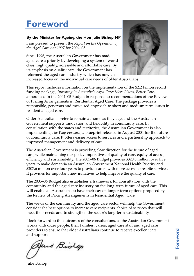## **Foreword**

#### **By the Minister for Ageing, the Hon Julie Bishop MP**

I am pleased to present the *Report on the Operation of the Aged Care Act 1997* for 2004–05.

Since 1996, the Australian Government has made aged care a priority by developing a system of worldclass, high quality, accessible and affordable care. By its emphasis on quality care, the Government has reformed the aged care industry which has now an



increased focus on the individual care needs of older Australians.

This report includes information on the implementation of the \$2.2 billion record funding package, *Investing in Australia's Aged Care: More Places, Better Care*, announced in the 2004–05 Budget in response to recommendations of the Review of Pricing Arrangements in Residential Aged Care. The package provides a responsible, generous and measured approach to short and medium term issues in residential aged care.

Older Australians prefer to remain at home as they age, and the Australian Government supports innovation and flexibility in community care. In consultation with the states and territories, the Australian Government is also implementing *The Way Forward*, a blueprint released in August 2004 for the future of community care. It offers easier access to services and a partnership approach to improved management and delivery of care.

The Australian Government is providing clear direction for the future of aged care, while maintaining our policy imperatives of quality of care, equity of access, efficiency and sustainability. The 2005–06 Budget provides \$320.6 million over five years to make dementia an Australian Government National Health Priority and \$207.6 million over four years to provide carers with more access to respite services. It provides for important new initiatives to help improve the quality of care.

The 2005–06 Budget also establishes a framework for consultation with the community and the aged care industry on the long-term future of aged care. This will enable all Australians to have their say on longer-term options proposed by the Review of Pricing Arrangements in Residential Aged Care.

The views of the community and the aged care sector will help the Government consider the best options to increase care recipients' choice of services that will meet their needs and to strengthen the sector's long-term sustainability.

I look forward to the outcomes of the consultations, as the Australian Government works with older people, their families, carers, aged care staff and aged care providers to ensure that older Australians continue to receive excellent care and support.

feni Biolop

Julie Bishop

Foreword **Foreword**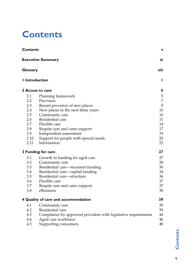## **Contents**

|                | <b>Contents</b>                                                |          |  |  |  |
|----------------|----------------------------------------------------------------|----------|--|--|--|
|                | <b>Executive Summary</b>                                       | ix       |  |  |  |
|                | Glossary                                                       |          |  |  |  |
| I Introduction |                                                                | п        |  |  |  |
|                | <b>2 Access to care</b>                                        | 5        |  |  |  |
| 2.1            | Planning framework                                             | 5        |  |  |  |
| 2.2            | Provision                                                      | 7        |  |  |  |
| 2.3            | Recent provision of new places                                 | 8        |  |  |  |
| 2.4            | New places in the next three years                             | 10       |  |  |  |
| 2.5            | Community care                                                 | 10       |  |  |  |
| 2.6<br>2.7     | Residential care<br>Flexible care                              | 11<br>14 |  |  |  |
| 2.8            | Respite care and carer support                                 | 17       |  |  |  |
| 2.9            | Independent assessment                                         | 19       |  |  |  |
| 2.10           | Support for people with special needs                          | 20       |  |  |  |
| 2.11           | Information                                                    | 23       |  |  |  |
|                | 3 Funding for care                                             | 27       |  |  |  |
| 3.1            | Growth in funding for aged care                                | 27       |  |  |  |
| 3.2            | Community care                                                 | 28       |  |  |  |
| 3.3            | Residential care—recurrent funding                             | 30       |  |  |  |
| 3.4            | Residential care-capital funding                               | 34       |  |  |  |
| 3.5            | Residential care-structure                                     | 36       |  |  |  |
| 3.6            | Flexible care                                                  | 37       |  |  |  |
| 3.7            | Respite care and carer support                                 | 37       |  |  |  |
| 3.8            | eBusiness                                                      | 38       |  |  |  |
|                | 4 Quality of care and accommodation                            | 39       |  |  |  |
| 4.1            | Community care                                                 | 39       |  |  |  |
| 4.2            | Residential care                                               | 39       |  |  |  |
| 4.3            | Compliance by approved providers with legislative requirements | 44       |  |  |  |
| 4.4            | Aged care workforce                                            | 46       |  |  |  |
| 4.5            | Supporting consumers                                           | 48       |  |  |  |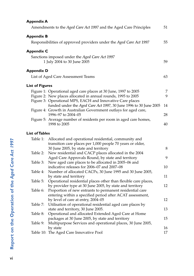| <b>Appendix A</b>      | Amendments to the Aged Care Act 1997 and the Aged Care Principles                                                                                                                              | 51       |
|------------------------|------------------------------------------------------------------------------------------------------------------------------------------------------------------------------------------------|----------|
| <b>Appendix B</b>      | Responsibilities of approved providers under the Aged Care Act 1997                                                                                                                            | 55       |
| <b>Appendix C</b>      | Sanctions imposed under the Aged Care Act 1997<br>1 July 2004 to 30 June 2005                                                                                                                  | 59       |
| <b>Appendix D</b>      |                                                                                                                                                                                                |          |
|                        | List of Aged Care Assessment Teams                                                                                                                                                             | 63       |
| <b>List of Figures</b> |                                                                                                                                                                                                |          |
|                        | Figure 1: Operational aged care places at 30 June, 1997 to 2005<br>Figure 2: New places allocated in annual rounds, 1995 to 2005<br>Figure 3: Operational MPS, EACH and Innovative Care places | 7<br>9   |
|                        | funded under the Aged Care Act 1997, 30 June 1996 to 30 June 2005<br>Figure 4: Growth in Australian Government outlays for aged care,                                                          | 14       |
|                        | 1996-97 to 2004-05<br>Figure 5: Average number of residents per room in aged care homes,                                                                                                       | 28       |
| <b>List of Tables</b>  | 1998 to 2005                                                                                                                                                                                   | 40       |
| Table 1:               | Allocated and operational residential, community and<br>transition care places per 1,000 people 70 years or older,<br>30 June 2005, by state and territory                                     | $\,8\,$  |
| Table 2:               | New residential and CACP places allocated in the 2004<br>Aged Care Approvals Round, by state and territory                                                                                     | 9        |
| Table 3:               | New aged care places to be allocated in 2005-06 and<br>indicative releases for 2006-07 and 2007-08                                                                                             | 10       |
| Table 4:<br>Table 5:   | Number of allocated CACPs, 30 June 1995 and 30 June 2005,<br>by state and territory                                                                                                            | 11       |
| Table 6:               | Operational residential places other than flexible care places,<br>by provider type at 30 June 2005, by state and territory<br>Proportion of new entrants to permanent residential care        | 12       |
|                        | entering within a specified period after ACAT assessment,<br>by level of care at entry, 2004–05                                                                                                | 12       |
| Table 7:               | Utilisation of operational residential aged care places by<br>state and territory, 30 June 2005.                                                                                               | 13       |
| Table 8:<br>Table 9:   | Operational and allocated Extended Aged Care at Home<br>packages at 30 June 2005, by state and territory<br>Multipurpose Services and operational places, 30 June 2005,                        | $15\,$   |
|                        | by state<br>Table 10: The Aged Care Innovative Pool                                                                                                                                            | 16<br>17 |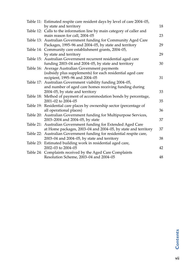| Table 11: Estimated respite care resident days by level of care 2004–05,<br>by state and territory               | 18 |
|------------------------------------------------------------------------------------------------------------------|----|
| Table 12: Calls to the information line by main category of caller and<br>main reason for call, 2004-05          | 23 |
| Table 13: Australian Government funding for Community Aged Care                                                  |    |
| Packages, 1995-96 and 2004-05, by state and territory<br>Table 14: Community care establishment grants, 2004–05, | 29 |
| by state and territory                                                                                           | 29 |
| Table 15: Australian Government recurrent residential aged care                                                  |    |
| funding 2003-04 and 2004-05, by state and territory                                                              | 30 |
| Table 16: Average Australian Government payments                                                                 |    |
| (subsidy plus supplements) for each residential aged care                                                        |    |
| recipient, 1995-96 and 2004-05                                                                                   | 31 |
| Table 17: Australian Government viability funding 2004–05,                                                       |    |
| and number of aged care homes receiving funding during                                                           |    |
| 2004–05, by state and territory                                                                                  | 33 |
| Table 18: Method of payment of accommodation bonds by percentage,                                                |    |
| 2001-02 to 2004-05                                                                                               | 35 |
| Table 19: Residential care places by ownership sector (percentage of<br>all operational places)                  | 36 |
| Table 20: Australian Government funding for Multipurpose Services,                                               |    |
| 2003-2004 and 2004-05, by state                                                                                  | 37 |
| Table 21: Australian Government funding for Extended Aged Care                                                   |    |
| at Home packages, 2003-04 and 2004-05, by state and territory                                                    | 37 |
| Table 22: Australian Government funding for residential respite care,                                            |    |
| 2003-04 and 2004-05, by state and territory                                                                      | 38 |
| Table 23: Estimated building work in residential aged care,                                                      |    |
| 2002-03 to 2004-05                                                                                               | 42 |
| Table 24: Complaints received by the Aged Care Complaints                                                        |    |
| Resolution Scheme, 2003-04 and 2004-05                                                                           | 48 |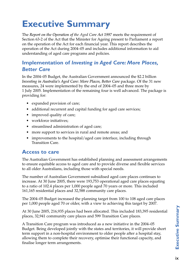# **Executive Summary**

The *Report on the Operation of the Aged Care Act 1997* meets the requirement of Section 63-2 of the Act that the Minister for Ageing present to Parliament a report on the operation of the Act for each financial year. This report describes the operation of the Act during 2004–05 and includes additional information to aid understanding of aged care programs and policies.

## **Implementation of** *Investing in Aged Care: More Places, Better Care*

In the 2004–05 Budget, the Australian Government announced the \$2.2 billion *Investing in Australia's Aged Care: More Places, Better Care* package. Of the 31 new measures, 24 were implemented by the end of 2004–05 and three more by 1 July 2005. Implementation of the remaining four is well advanced. The package is providing for:

- expanded provision of care;
- additional recurrent and capital funding for aged care services;
- improved quality of care;
- workforce initiatives;
- streamlined administration of aged care;
- more support to services in rural and remote areas; and
- improvements to the hospital/aged care interface, including through Transition Care.

### **Access to care**

The Australian Government has established planning and assessment arrangements to ensure equitable access to aged care and to provide diverse and flexible services to all older Australians, including those with special needs.

The number of Australian Government subsidised aged care places continues to increase. At 30 June 2005, there were 193,753 operational aged care places equating to a ratio of 102.4 places per 1,000 people aged 70 years or more. This included 161,165 residential places and 32,588 community care places.

The 2004–05 Budget increased the planning target from 100 to 108 aged care places per 1,000 people aged 70 or older, with a view to achieving this target by 2007.

At 30 June 2005, 216,935 places had been allocated. This included 183,395 residential places, 32,941 community care places and 599 Transition Care places.

A Transition Care program was introduced as a new initiative in the 2004–05 Budget. Being developed jointly with the states and territories, it will provide short term support in a non-hospital environment to older people after a hospital stay, allowing them to complete their recovery, optimise their functional capacity, and finalise longer term arrangements.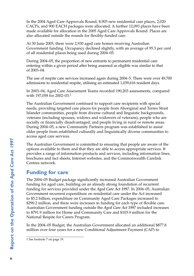In the 2004 Aged Care Approvals Round, 8,905 new residential care places, 2,020 CACPs, and 900 EACH packages were allocated. A further 12,093 places have been made available for allocation in the 2005 Aged Care Approvals Round. Places are also allocated outside the rounds for flexibly-funded care.

At 30 June 2005, there were 2,930 aged care homes receiving Australian Government funding. Occupancy declined slightly, with an average of 95.3 per cent of all residential places being used during 2004–05.

During 2004–05, the proportion of new entrants to permanent residential care entering within a given period after being assessed as eligible was similar to that of 2003–04.

The use of respite care services increased again during 2004–5. There were over 49,700 admissions to residential respite, utilising an estimated 1,039,616 resident days.

In 2003–04, Aged Care Assessment Teams recorded 190,203 assessments, compared with 197,058 for 2002–03.<sup>1</sup>

The Australian Government continued to support care recipients with special needs, providing targeted care places for people from Aboriginal and Torres Strait Islander communities, people from diverse cultural and linguistic backgrounds, veterans (including spouses, widows and widowers of veterans), people who are socially or financially disadvantaged, and people living in rural or remote areas. During 2004–05, a new Community Partners program was established to assist older people from established culturally and linguistically diverse communities to access aged care services.

The Australian Government is committed to ensuring that people are aware of the options available to them and that they are able to access appropriate services. It provides a range of information products and services, including information lines, brochures and fact sheets, Internet websites, and the Commonwealth Carelink Centres network.

### **Funding for care**

The 2004–05 Budget package significantly increased Australian Government funding for aged care, building on an already strong foundation of recurrent funding for services provided under the *Aged Care Act 1997*. In 2004–05, Australian Government recurrent expenditure on residential care under the Act increased to \$5.2 billion, expenditure on Community Aged Care Packages increased to \$290.2 million, and there were increases in funding for each type of flexible care. Australian Government funding outside the *Aged Care Act 1997* included increases to \$791.9 million for Home and Community Care and \$103.9 million for the National Respite for Carers Program.

In the 2004–05 Budget, the Australian Government allocated an additional \$877.8 million over four years for a new Conditional Adjustment Payment (CAP) to

<sup>1</sup> See footnote 7 on page 19.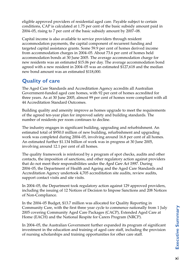eligible approved providers of residential aged care. Payable subject to certain conditions, CAP is calculated at 1.75 per cent of the basic subsidy amount paid in 2004–05, rising to 7 per cent of the basic subsidy amount by 2007–08.

Capital income is also available to service providers through resident accommodation payments, the capital component of recurrent funding and targeted capital assistance grants. Some 59.9 per cent of homes derived income from accommodation charges in 2004–05. About 73.6 per cent of homes held accommodation bonds at 30 June 2005. The average accommodation charge for new residents was an estimated \$15.06 per day. The average accommodation bond agreed with a new resident in 2004–05 was an estimated \$127,618 and the median new bond amount was an estimated \$118,000.

## **Quality of care**

The Aged Care Standards and Accreditation Agency accredits all Australian Government-funded aged care homes, with 92 per cent of homes accredited for three years. As at 30 June 2005, almost 99 per cent of homes were compliant with all 44 Accreditation Standard Outcomes.

Building quality and amenity improve as homes upgrade to meet the requirements of the agreed ten-year plan for improved safety and building standards. The number of residents per room continues to decline.

The industry engages in significant building, upgrading and refurbishment. An estimated total of \$950.0 million of new building, refurbishment and upgrading work was completed during 2004–05, involving around 16.8 per cent of all homes. An estimated further \$1.134 billion of work was in progress at 30 June 2005, involving around 12.1 per cent of all homes.

The quality framework is reinforced by a program of spot checks, audits and other contacts, the imposition of sanctions, and other regulatory action against providers that do not meet their responsibilities under the *Aged Care Act 1997*. During 2004–05, the Department of Health and Ageing and the Aged Care Standards and Accreditation Agency undertook 4,705 accreditation site audits, review audits, support contact visits and site visits.

In 2004–05, the Department took regulatory action against 129 approved providers, including the issuing of 12 Notices of Decision to Impose Sanctions and 208 Notices of Non-Compliance.

In the 2004–05 Budget, \$13.7 million was allocated for Quality Reporting in Community Care, with the first three year cycle to commence nationally from 1 July 2005 covering Community Aged Care Packages (CACP), Extended Aged Care at Home (EACH) and the National Respite for Carers Program (NRCP).

In 2004–05, the Australian Government further expanded its program of significant investment in the education and training of aged care staff, including the provision of nursing scholarships and training opportunities for other care staff.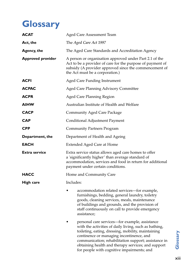# **Glossary**

| <b>ACAT</b>              | Aged Care Assessment Team                                                                                                                                                                                                                                                                                                                                             |  |  |  |  |
|--------------------------|-----------------------------------------------------------------------------------------------------------------------------------------------------------------------------------------------------------------------------------------------------------------------------------------------------------------------------------------------------------------------|--|--|--|--|
| Act, the                 | The Aged Care Act 1997                                                                                                                                                                                                                                                                                                                                                |  |  |  |  |
| <b>Agency, the</b>       | The Aged Care Standards and Accreditation Agency                                                                                                                                                                                                                                                                                                                      |  |  |  |  |
| <b>Approved provider</b> | A person or organisation approved under Part 2.1 of the<br>Act to be a provider of care for the purpose of payment of<br>subsidy (A provider approved since the commencement of<br>the Act must be a corporation.)                                                                                                                                                    |  |  |  |  |
| <b>ACFI</b>              | Aged Care Funding Instrument                                                                                                                                                                                                                                                                                                                                          |  |  |  |  |
| <b>ACPAC</b>             | <b>Aged Care Planning Advisory Committee</b>                                                                                                                                                                                                                                                                                                                          |  |  |  |  |
| <b>ACPR</b>              | Aged Care Planning Region                                                                                                                                                                                                                                                                                                                                             |  |  |  |  |
| <b>AIHW</b>              | Australian Institute of Health and Welfare                                                                                                                                                                                                                                                                                                                            |  |  |  |  |
| <b>CACP</b>              | <b>Community Aged Care Package</b>                                                                                                                                                                                                                                                                                                                                    |  |  |  |  |
| <b>CAP</b>               | Conditional Adjustment Payment                                                                                                                                                                                                                                                                                                                                        |  |  |  |  |
| <b>CPP</b>               | <b>Community Partners Program</b>                                                                                                                                                                                                                                                                                                                                     |  |  |  |  |
| Department, the          | Department of Health and Ageing                                                                                                                                                                                                                                                                                                                                       |  |  |  |  |
| <b>EACH</b>              | <b>Extended Aged Care at Home</b>                                                                                                                                                                                                                                                                                                                                     |  |  |  |  |
| Extra service            | Extra service status allows aged care homes to offer<br>a 'significantly higher' than average standard of<br>accommodation, services and food in return for additional<br>payment under certain conditions.                                                                                                                                                           |  |  |  |  |
| <b>HACC</b>              | Home and Community Care                                                                                                                                                                                                                                                                                                                                               |  |  |  |  |
| <b>High care</b>         | Includes:                                                                                                                                                                                                                                                                                                                                                             |  |  |  |  |
|                          | accommodation related services-for example,<br>furnishings, bedding, general laundry, toiletry<br>goods, cleaning services, meals, maintenance<br>of buildings and grounds, and the provision of<br>staff continuously on call to provide emergency<br>assistance;                                                                                                    |  |  |  |  |
|                          | personal care services—for example, assistance<br>with the activities of daily living, such as bathing,<br>toileting, eating, dressing, mobility, maintaining<br>continence or managing incontinence, and<br>communication; rehabilitation support; assistance in<br>obtaining health and therapy services; and support<br>for people with cognitive impairments; and |  |  |  |  |

Glossary xiii**Glossary**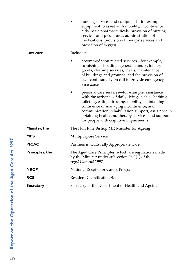|                        | nursing services and equipment-for example,<br>equipment to assist with mobility, incontinence<br>aids, basic pharmaceuticals, provision of nursing<br>services and procedures, administration of<br>medications, provision of therapy services and<br>provision of oxygen.                                                                                       |  |  |  |
|------------------------|-------------------------------------------------------------------------------------------------------------------------------------------------------------------------------------------------------------------------------------------------------------------------------------------------------------------------------------------------------------------|--|--|--|
| Low care               | Includes:                                                                                                                                                                                                                                                                                                                                                         |  |  |  |
|                        | accommodation related services—for example,<br>furnishings, bedding, general laundry, toiletry<br>goods, cleaning services, meals, maintenance<br>of buildings and grounds, and the provision of<br>staff continuously on call to provide emergency<br>assistance;                                                                                                |  |  |  |
|                        | personal care services—for example, assistance<br>with the activities of daily living, such as bathing,<br>toileting, eating, dressing, mobility, maintaining<br>continence or managing incontinence, and<br>communication; rehabilitation support; assistance in<br>obtaining health and therapy services; and support<br>for people with cognitive impairments. |  |  |  |
| Minister, the          | The Hon Julie Bishop MP, Minister for Ageing                                                                                                                                                                                                                                                                                                                      |  |  |  |
| <b>MPS</b>             | Multipurpose Service                                                                                                                                                                                                                                                                                                                                              |  |  |  |
| <b>PICAC</b>           | Partners in Culturally Appropriate Care                                                                                                                                                                                                                                                                                                                           |  |  |  |
| <b>Principles, the</b> | The Aged Care Principles, which are regulations made<br>by the Minister under subsection $96-1(1)$ of the<br>Aged Care Act 1997                                                                                                                                                                                                                                   |  |  |  |
| <b>NRCP</b>            | National Respite for Carers Program                                                                                                                                                                                                                                                                                                                               |  |  |  |
| <b>RCS</b>             | <b>Resident Classification Scale</b>                                                                                                                                                                                                                                                                                                                              |  |  |  |
| <b>Secretary</b>       | Secretary of the Department of Health and Ageing                                                                                                                                                                                                                                                                                                                  |  |  |  |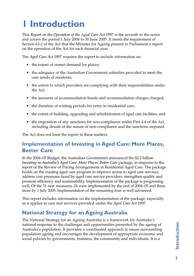# **1 Introduction**

This *Report on the Operation of the* Ag*ed Care Act 1997* is the seventh in the series and covers the period 1 July 2004 to 30 June 2005. It meets the requirement of Section 63-2 of the Act that the Minister for Ageing present to Parliament a report on the operation of the Act for each financial year.

The *Aged Care Act 1997* requires the report to include information on:

- the extent of unmet demand for places;
- the adequacy of the Australian Government subsidies provided to meet the care needs of residents;
- the extent to which providers are complying with their responsibilities under the Act;
- the amounts of accommodation bonds and accommodation charges charged;
- the duration of waiting periods for entry to residential care;
- the extent of building, upgrading and refurbishment of aged care facilities; and
- the imposition of any sanctions for non-compliance under Part 4.4 of the Act, including details of the nature of non-compliance and the sanctions imposed.

The Act does not limit the report to these matters.

## **Implementation of Investing in Aged Care: More Places, Better Care**

In the 2004–05 Budget, the Australian Government announced the \$2.2 billion *Investing in Australia's Aged Care: More Places, Better Care* package, in response to the report of the Review of Pricing Arrangements in Residential Aged Care. The package builds on the existing aged care program to improve access to aged care services, address cost pressures faced by aged care service providers, strengthen quality and promote efficiency and sustainability. Implementation of the package is progressing well. Of the 31 new measures, 24 were implemented by the end of 2004–05 and three more by 1 July 2005. Implementation of the remaining four is well advanced.

This report includes information on the implementation of the package, especially as it applies to care and services provided under the *Aged Care Act 1997*.

## **National Strategy for an Ageing Australia**

The National Strategy for an Ageing Australia is a framework for Australia's national response to the challenges and opportunities presented by the ageing of Australia's population. It provides a coordinated approach to issues surrounding population ageing and encourages the development of appropriate economic and social policies by governments, business, the community and individuals. It is a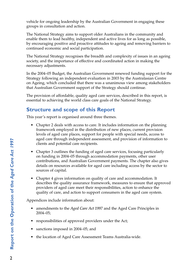vehicle for ongoing leadership by the Australian Government in engaging these groups in consultation and action.

The National Strategy aims to support older Australians in the community and enable them to lead healthy, independent and active lives for as long as possible, by encouraging positive and proactive attitudes to ageing and removing barriers to continued economic and social participation.

The National Strategy recognises the breadth and complexity of issues in an ageing society, and the importance of effective and coordinated action in making the necessary adjustments.

In the 2004–05 Budget, the Australian Government renewed funding support for the Strategy following an independent evaluation in 2003 by the Australasian Centre on Ageing, which concluded that there was a unanimous view among stakeholders that Australian Government support of the Strategy should continue.

The provision of affordable, quality aged care services, described in this report, is essential to achieving the world class care goals of the National Strategy.

## **Structure and scope of this Report**

This year's report is organised around three themes.

- Chapter 2 deals with access to care. It includes information on the planning framework employed in the distribution of new places, current provision levels of aged care places, support for people with special needs, access to aged care through independent assessment, and provision of information to clients and potential care recipients.
- Chapter 3 outlines the funding of aged care services, focusing particularly on funding in 2004–05 through accommodation payments, other user contributions, and Australian Government payments. The chapter also gives details on resources available for aged care including access by the sector to sources of capital.
- Chapter 4 gives information on quality of care and accommodation. It describes the quality assurance framework, measures to ensure that approved providers of aged care meet their responsibilities, action to enhance the quality of care, and action to support consumers in the aged care system.

Appendices include information about:

- amendments to the *Aged Care Act 1997* and the Aged Care Principles in 2004–05;
- responsibilities of approved providers under the Act;
- sanctions imposed in 2004–05; and
- the location of Aged Care Assessment Teams Australia-wide.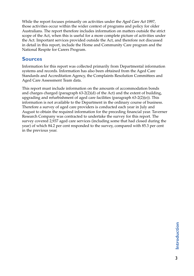While the report focuses primarily on activities under the *Aged Care Act 1997*, those activities occur within the wider context of programs and policy for older Australians. The report therefore includes information on matters outside the strict scope of the Act, when this is useful for a more complete picture of activities under the Act. Important services provided outside the Act, and therefore not discussed in detail in this report, include the Home and Community Care program and the National Respite for Carers Program.

### **Sources**

Information for this report was collected primarily from Departmental information systems and records. Information has also been obtained from the Aged Care Standards and Accreditation Agency, the Complaints Resolution Committees and Aged Care Assessment Team data.

This report must include information on the amounts of accommodation bonds and charges charged (paragraph  $63-2(2)(d)$  of the Act) and the extent of building, upgrading and refurbishment of aged care facilities (paragraph 63-2(2)(e)). This information is not available to the Department in the ordinary course of business. Therefore a survey of aged care providers is conducted each year in July and August to obtain the required information for the preceding financial year. Taverner Research Company was contracted to undertake the survey for this report. The survey covered 2,937 aged care services (including some that had closed during the year) of which 84.2 per cent responded to the survey, compared with 85.3 per cent in the previous year.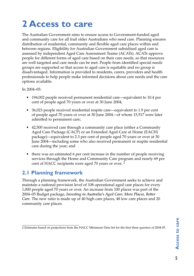# **2 Access to care**

The Australian Government aims to ensure access to Government-funded aged and community care for all frail older Australians who need care. Planning ensures distribution of residential, community and flexible aged care places within and between regions. Eligibility for Australian Government subsidised aged care is assessed by independent Aged Care Assessment Teams (ACATs). ACATs approve people for different forms of aged care based on their care needs, so that resources are well targeted and care needs can be met. People from identified special needs groups are supported so that access to aged care is equitable and no group is disadvantaged. Information is provided to residents, carers, providers and health professionals to help people make informed decisions about care needs and the care options available.

In 2004–05:

- 194,002 people received permanent residential care—equivalent to 10.4 per cent of people aged 70 years or over at 30 June 2004;
- 36,023 people received residential respite care—equivalent to 1.9 per cent of people aged 70 years or over at 30 June 2004—of whom 15,517 were later admitted to permanent care;
- 42,500 received care through a community care place (either a Community Aged Care Package (CACP) or an Extended Aged Care at Home (EACH) package)—equivalent to 2.3 per cent of people aged 70 years or over at 30 June 2004—including some who also received permanent or respite residential care during the year; and
- there was an estimated 6 per cent increase in the number of people receiving services through the Home and Community Care program and nearly 69 per cent of HACC recipients were aged 70 years or over. 2

## **2.1 Planning framework**

Through a planning framework, the Australian Government seeks to achieve and maintain a national provision level of 108 operational aged care places for every 1,000 people aged 70 years or over. An increase from 100 places was part of the 2004–05 Budget package, *Investing in Australia's Aged Care: More Places, Better Care*. The new ratio is made up of 40 high care places, 48 low care places and 20 community care places.

<sup>2</sup> Estimates based on projections from the HACC Minimum Data Set for the first three quarters of 2004-05.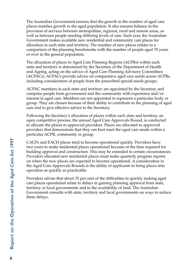The Australian Government ensures that the growth in the number of aged care places matches growth in the aged population. It also ensures balance in the provision of services between metropolitan, regional, rural and remote areas, as well as between people needing differing levels of care. Each year, the Australian Government makes available new residential and community care places for allocation in each state and territory. The number of new places relates to a comparison of the planning benchmarks with the number of people aged 70 years or over in the general population.

The allocation of places to Aged Care Planning Regions (ACPRs) within each state and territory is determined by the Secretary of the Department of Health and Ageing, acting on the advice of Aged Care Planning Advisory Committees (ACPACs). ACPACs provide advice on comparative aged care needs across ACPRs, including consideration of people from the prescribed special needs groups.

ACPAC members in each state and territory are appointed by the Secretary and comprise people from government and the community with experience and/or interest in aged care. Members are not appointed to represent a particular body or group. They are chosen because of their ability to contribute to the planning of aged care and to give effective advice to the Secretary.

Following the Secretary's allocation of places within each state and territory, an open competitive process, the annual Aged Care Approvals Round, is conducted to allocate the places to approved providers. Places are allocated to approved providers that demonstrate that they can best meet the aged care needs within a particular ACPR, community or group.

CACPs and EACH places tend to become operational quickly. Providers have two years to make residential places operational because of the time required for building approval and construction. This may be extended in certain circumstances. Providers allocated new residential places must make quarterly progress reports on when the new places are expected to become operational. A consideration in the Aged Care Approvals Rounds is the ability of applicants to bring places into operation as quickly as practicable.

Providers advise that about 70 per cent of the difficulties in quickly making aged care places operational relate to delays in gaining planning approval from state, territory or local governments and to the availability of land. The Australian Government consults with state, territory and local governments on ways to reduce these delays.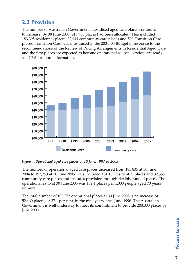## **2.2 Provision**

The number of Australian Government subsidised aged care places continues to increase. By 30 June 2005, 216,935 places had been allocated. This included 183,395 residential places, 32,941 community care places and 599 Transition Care places. Transition Care was introduced in the 2004–05 Budget in response to the recommendations of the Review of Pricing Arrangements in Residential Aged Care and the first places are expected to become operational as local services are ready; see 2.7.5 for more information.



*Figure 1: Operational aged care places at 30 June, 1997 to 2005*

The number of operational aged care places increased from 185,835 at 30 June 2004 to 193,753 at 30 June 2005. This included 161,165 residential places and 32,588 community care places and includes provision through flexibly funded places. The operational ratio at 30 June 2005 was 102.4 places per 1,000 people aged 70 years or more.

The total number of 193,753 operational places at 30 June 2005 is an increase of 52,460 places, or 37.1 per cent, in the nine years since June 1996. The Australian Government is well underway to meet its commitment to provide 200,000 places by June 2006.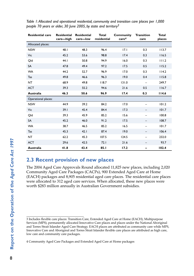| <b>Residential care</b> | <b>Residential</b><br>care-high | <b>Residential</b><br>care-low | <b>Total</b><br>residential | <b>Community</b><br>care <sup>4</sup> | <b>Transition</b><br>care | <b>Total</b><br>places |
|-------------------------|---------------------------------|--------------------------------|-----------------------------|---------------------------------------|---------------------------|------------------------|
| Allocated places:       |                                 |                                |                             |                                       |                           |                        |
| <b>NSW</b>              | 48.1                            | 48.3                           | 96.4                        | 17.1                                  | 0.3                       | 113.7                  |
| Vic                     | 45.2                            | 53.6                           | 98.8                        | 17.4                                  | 0.3                       | 116.5                  |
| Old                     | 44.1                            | 50.8                           | 94.9                        | 16.0                                  | 0.3                       | 111.2                  |
| <b>SA</b>               | 47.8                            | 49.4                           | 97.2                        | 17.5                                  | 0.5                       | 115.2                  |
| <b>WA</b>               | 44.2                            | 52.7                           | 96.9                        | 17.0                                  | 0.3                       | 114.2                  |
| Tas                     | 49.8                            | 46.6                           | 96.3                        | 19.0                                  | 0.4                       | 115.8                  |
| <b>NT</b>               | 68.9                            | 49.8                           | 118.7                       | 131.0                                 | $\overline{\phantom{m}}$  | 249.7                  |
| <b>ACT</b>              | 39.3                            | 55.2                           | 94.6                        | 21.6                                  | 0.5                       | 116.7                  |
| Australia               | 46.3                            | 50.6                           | 96.9                        | 17.4                                  | 0.3                       | 114.6                  |
| Operational places:     |                                 |                                |                             |                                       |                           |                        |
| <b>NSW</b>              | 44.9                            | 39.2                           | 84.2                        | 17.0                                  |                           | 101.2                  |
| Vic                     | 39.1                            | 45.4                           | 84.4                        | 17.3                                  | -                         | 101.7                  |
| Qld                     | 39.3                            | 45.9                           | 85.2                        | 15.6                                  | —                         | 100.8                  |
| <b>SA</b>               | 45.2                            | 46.0                           | 91.2                        | 17.5                                  | -                         | 108.7                  |
| <b>WA</b>               | 38.7                            | 46.5                           | 85.2                        | 16.5                                  | $\overline{\phantom{0}}$  | 101.7                  |
| Tas                     | 45.3                            | 42.1                           | 87.4                        | 19.0                                  | -                         | 106.4                  |
| <b>NT</b>               | 62.2                            | 45.3                           | 107.5                       | 124.5                                 | —                         | 232.0                  |
| <b>ACT</b>              | 29.6                            | 42.5                           | 72.1                        | 21.6                                  | -                         | 93.7                   |
| Australia               | 41.8                            | 43.4                           | 85.1                        | 17.2                                  | -                         | 102.4                  |

*Table 1: Allocated and operational residential, community and transition care places per 1,000 people 70 years or older, 30 June 2005, by state and territory3*

### **2.3 Recent provision of new places**

The 2004 Aged Care Approvals Round allocated 11,825 new places, including 2,020 Community Aged Care Packages (CACPs), 900 Extended Aged Care at Home (EACH) packages and 8,905 residential aged care places. The residential care places were allocated to 312 aged care services. When allocated, these new places were worth \$283 million annually in Australian Government subsidies.

4 Community Aged Care Packages and Extended Aged Care at Home packages

<sup>3</sup> Includes flexible care places: Transition Care, Extended Aged Care at Home (EACH), Multipurpose Services (MPS), permanently allocated Innovative Care places and places under the National Aboriginal and Torres Strait Islander Aged Care Strategy. EACH places are attributed as community care while MPS, Innovative Care and Aboriginal and Torres Strait Islander flexible care places are attributed as high care, low care and community care packages.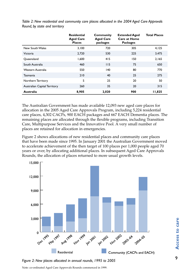|                              | <b>Residential</b><br><b>Aged Care</b><br><b>Places</b> | Community<br><b>Aged Care</b><br>packages | <b>Extended Aged</b><br><b>Care at Home</b><br><b>Packages</b> | <b>Total Places</b> |
|------------------------------|---------------------------------------------------------|-------------------------------------------|----------------------------------------------------------------|---------------------|
| New South Wales              | 3.100                                                   | 720                                       | 305                                                            | 4.125               |
| Victoria                     | 2.720                                                   | 530                                       | 225                                                            | 3,475               |
| Oueensland                   | 1.600                                                   | 415                                       | 150                                                            | 2.165               |
| South Australia              | 460                                                     | 115                                       | 75                                                             | 650                 |
| Western Australia            | 550                                                     | 140                                       | 80                                                             | 770                 |
| Tasmania                     | 210                                                     | 40                                        | 25                                                             | 275                 |
| Northern Territory           | 5                                                       | 25                                        | 20                                                             | 50                  |
| Australian Capital Territory | 260                                                     | 35                                        | 20                                                             | 315                 |
| Australia                    | 8,905                                                   | 2,020                                     | 900                                                            | 11,825              |

*Table 2: New residential and community care places allocated in the 2004 Aged Care Approvals Round, by state and territory* 

The Australian Government has made available 12,093 new aged care places for allocation in the 2005 Aged Care Approvals Program, including 5,224 residential care places, 4,302 CACPs, 900 EACH packages and 667 EACH Dementia places. The remaining places are allocated through the flexible programs, including Transition Care, Multipurpose Services and the Innovative Pool. A very small number of places are retained for allocation in emergencies.

Figure 2 shows allocations of new residential places and community care places that have been made since 1995. In January 2001 the Australian Government moved to accelerate achievement of the then target of 100 places per 1,000 people aged 70 years or over, by allocating additional places. In subsequent Aged Care Approvals Rounds, the allocation of places returned to more usual growth levels.



*Figure 2: New places allocated in annual rounds, 1995 to 2005*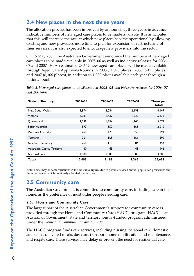## **2.4 New places in the next three years**

The allocation process has been improved by announcing, three years in advance, indicative numbers of new aged care places to be made available. It is anticipated that this will increase the rate at which new places become operational by allowing existing and new providers more time to plan for expansion or restructuring of their services. It is also expected to encourage new providers into the sector.

On 16 May 2005, the Australian Government announced the numbers of new aged care places to be made available in 2005–06 as well as indicative releases for 2006– 07 and 2007–08. An estimated 23,652 new aged care places will be made available through Aged Care Approvals Rounds in 2005 (11,093 places), 2006 (6,193 places) and 2007 (6,366 places), in addition to 1,000 places available each year through a national pool.

| <b>State or Territory</b>    | 2005-06 | 2006-07 | 2007-08 | Three year<br>totals |
|------------------------------|---------|---------|---------|----------------------|
| New South Wales              | 3.874   | 2.084   | 2.191   | 8.149                |
| Victoria                     | 2,381   | 1,432   | 1,620   | 5,433                |
| Oueensland                   | 2.598   | 1.334   | 1.140   | 5,072                |
| South Australia              | 897     | 550     | 565     | 2,012                |
| Western Australia            | 762     | 473     | 559     | 1.794                |
| Tasmania                     | 261     | 165     | 166     | 592                  |
| Northern Territory           | 260     | 110     | 84      | 454                  |
| Australian Capital Territory | 60      | 45      | 41      | 146                  |
| National Pool                | 1.000   | 1.000   | 1.000   | 3.000                |
| Totals                       | 12,093  | 7.193   | 7.366   | 26,652               |

*Table 3: New aged care places to be allocated in 2005–06 and indicative releases for 2006–07 and 2007–08*

Note: There may be some variations in the indicative figures due to possible revised annual population projections and the actual rate at which previously allocated places open.

## **2.5 Community care**

The Australian Government is committed to community care, including care in the home, as the preference of most older people needing care.

#### **2.5.1 Home and Community Care**

The largest part of the Australian Government's support for community care is provided through the Home and Community Care (HACC) program. HACC is an Australian Government, state and territory jointly-funded program administered under the *Home and Community Care Act 1985.*

The HACC program funds care services, including nursing, personal care, domestic assistance, delivered meals, day care, transport, home modification and maintenance, and respite care. These services may delay or prevent the need for residential care.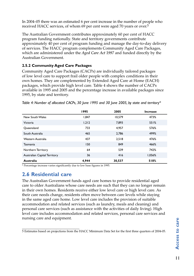In 2004–05 there was an estimated 6 per cent increase in the number of people who received HACC services, of whom 69 per cent were aged 70 years or over.<sup>5</sup>

The Australian Government contributes approximately 60 per cent of HACC program funding nationally. State and territory governments contribute approximately 40 per cent of program funding and manage the day-to-day delivery of services. The HACC program complements Community Aged Care Packages, which are administered under the *Aged Care Act 1997* and funded directly by the Australian Government.

#### **2.5.2 Community Aged Care Packages**

Community Aged Care Packages (CACPs) are individually tailored packages of low level care to support frail older people with complex conditions in their own homes. They are complemented by Extended Aged Care at Home (EACH) packages, which provide high level care. Table 4 shows the number of CACPs available in 1995 and 2005 and the percentage increase in available packages since 1995, by state and territory.

|                              | 1995  | 2005   | Increase |
|------------------------------|-------|--------|----------|
| New South Wales              | 1.847 | 10.579 | 473%     |
| Victoria                     | 1.212 | 7,893  | 551%     |
| Oueensland                   | 733   | 4.957  | 576%     |
| South Australia              | 465   | 2.786  | 499%     |
| Western Australia            | 437   | 2,518  | 476%     |
| Tasmania                     | 150   | 849    | 466%     |
| Northern Territory           | 64    | 539    | 742%     |
| Australian Capital Territory | 36    | 416    | 1,056%   |
| <b>Australia</b>             | 4,944 | 30,537 | 518%     |

*Table 4: Number of allocated CACPs, 30 June 1995 and 30 June 2005, by state and territory\**

\* Percentage increase varies significantly due to low base figures in 1995.

## **2.6 Residential care**

The Australian Government funds aged care homes to provide residential aged care to older Australians whose care needs are such that they can no longer remain in their own homes. Residents receive either low level care or high level care. As their care needs change, residents often move between care levels while staying in the same aged care home. Low level care includes the provision of suitable accommodation and related services (such as laundry, meals and cleaning) and personal care services (such as assistance with the activities of daily living). High level care includes accommodation and related services, personal care services and nursing care and equipment.

<sup>5</sup> Estimates based on projections from the HACC Minimum Data Set for the first three quarters of 2004-05.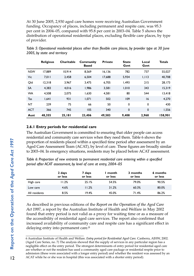At 30 June 2005, 2,930 aged care homes were receiving Australian Government funding. Occupancy of places, including permanent and respite care, was 95.3 per cent in 2004–05, compared with 95.8 per cent in 2003–04. Table 5 shows the distribution of operational residential places, excluding flexible care places, by type of provider.

|            | <b>Religious</b> | Charitable | Community<br><b>Based</b> | <b>Private</b> | <b>State</b><br>Govt | Local<br>Govt | <b>Totals</b> |
|------------|------------------|------------|---------------------------|----------------|----------------------|---------------|---------------|
| <b>NSW</b> | 17.889           | 10.914     | 8.569                     | 16.136         | 782                  | 737           | 55,027        |
| Vic        | 7.011            | 2.458      | 6.504                     | 17.688         | 5.934                | 1.113         | 40,708        |
| Old        | 12.318           | 3.967      | 3,475                     | 6.705          | 1.493                | 215           | 28,173        |
| <b>SA</b>  | 4.383            | 4.016      | 1.986                     | 3,581          | 1.010                | 343           | 15,319        |
| <b>WA</b>  | 4.508            | 2,075      | 1.630                     | 4,581          | 80                   | 544           | 13,418        |
| Tas        | 1.641            | 931        | 1.071                     | 502            | 109                  | 16            | 4,270         |
| <b>NT</b>  | 239              | 75         | 66                        | 50             | 0                    | 0             | 430           |
| <b>ACT</b> | 366              | 745        | 105                       | 340            | 0                    | $\mathbf 0$   | 1,556         |
| Aust       | 48,355           | 25,181     | 23.406                    | 49,583         | 9.408                | 2,968         | 158,901       |

*Table 5: Operational residential places other than flexible care places, by provider type at 30 June 2005, by state and territory*

#### **2.6.1 Entry periods for residential care**

The Australian Government is committed to ensuring that older people can access residential and community care services when they need them. Table 6 shows the proportion of residents placed within a specified time period after assessment by an Aged Care Assessment Team (ACAT), by level of care. These figures are broadly similar to 2003–04. In emergency situations, residents may be placed before ACAT assessment.

*Table 6: Proportion of new entrants to permanent residential care entering within a specified period after ACAT assessment, by level of care at entry, 2004–05*

|               | 2 days<br>or less | 7 days<br>or less | month<br>or less | 3 months<br>or less | 6 months<br>or less |
|---------------|-------------------|-------------------|------------------|---------------------|---------------------|
| High care     | 11.2%             | 25.1%             | 54.5%            | 79.0%               | 90.5%               |
| Low care      | 4.6%              | 11.2%             | 31.2%            | 60.3%               | 80.0%               |
| All residents | 8.5%              | 19.4%             | 45.0%            | 71.4%               | 86.2%               |

As described in previous editions of the *Report on the Operation of the Aged Care Act 1997*, a report by the Australian Institute of Health and Welfare in May 2002 found that entry period is not valid as a proxy for waiting time or as a measure of the accessibility of residential aged care services. The report also confirmed that increased availability of community care and respite care has a significant effect in delaying entry into permanent care.<sup>6</sup>

<sup>6</sup> Australian Institute of Health and Welfare. *Entry period for Residential Aged Care.* Canberra, AIHW, 2002. (Aged Care Series, no. 7) The analysis showed that the supply of services in any particular region has a negligible effect on the entry period. The strongest determinants of entry period for residential aged care are whether or not the resident has used a community aged care package or residential respite prior to admission (these were associated with a longer entry period) and whether the resident was assessed by an ACAT while he or she was in hospital (this was associated with a shorter entry period).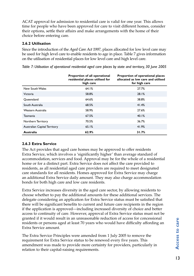ACAT approval for admission to residential care is valid for one year. This allows time for people who have been approved for care to visit different homes, consider their options, settle their affairs and make arrangements with the home of their choice before entering care.

#### **2.6.2 Utilisation**

Since the introduction of the *Aged Care Act 1997*, places allocated for low level care may be used for high level care to enable residents to age in place. Table 7 gives information on the utilisation of residential places for low level care and high level care.

|                              | Proportion of all operational<br>residential places utilised for<br>high care | Proportion of operational places<br>allocated as low care and utilised<br>for high care |
|------------------------------|-------------------------------------------------------------------------------|-----------------------------------------------------------------------------------------|
| New South Wales              | 64.1%                                                                         | 27.7%                                                                                   |
| Victoria                     | 58.8%                                                                         | 28.1%                                                                                   |
| Oueensland                   | 64.6%                                                                         | 38.8%                                                                                   |
| South Australia              | 68.5%                                                                         | 41.4%                                                                                   |
| Western Australia            | 58.9%                                                                         | 27.6%                                                                                   |
| Tasmania                     | 67.5%                                                                         | 40.1%                                                                                   |
| Northern Territory           | 70.5%                                                                         | 36.7%                                                                                   |
| Australian Capital Territory | 65.1%                                                                         | 41.9%                                                                                   |
| Australia                    | 62.9%                                                                         | 31.7%                                                                                   |

*Table 7: Utilisation of operational residential aged care places by state and territory, 30 June 2005*

#### **2.6.3 Extra Service**

The Act provides that aged care homes may be approved to offer residents Extra Service, which involves a 'significantly higher' than average standard of accommodation, services and food. Approval may be for the whole of a residential home or for a distinct part. Extra Service does not affect the care provided to residents, as all residential aged care providers are required to meet designated care standards for all residents. Homes approved for Extra Service may charge an additional Extra Service daily amount. They may also charge accommodation bonds for both high care and low care residents.

Extra Service increases diversity in the aged care sector, by allowing residents to choose whether to pay the additional amounts for these additional services. The delegate considering an application for Extra Service status must be satisfied that there will be significant benefits to current and future care recipients in the region if the application is approved—including increased diversity of choice and better access to continuity of care. However, approval of Extra Service status must not be granted if it would result in an unreasonable reduction of access for concessional residents or persons aged at least 70 years who would have difficulty affording an Extra Service amount.

The Extra Service Principles were amended from 1 July 2005 to remove the requirement for Extra Service status to be renewed every five years. This amendment was made to provide more certainty for providers, particularly in relation to their capital-raising requirements.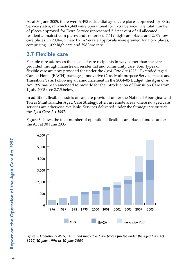As at 30 June 2005, there were 9,498 residential aged care places approved for Extra Service status, of which 6,449 were operational for Extra Service. The total number of places approved for Extra Service represented 5.3 per cent of all allocated residential mainstream places and comprised 7,419 high care places and 2,079 low care places. In 2004–05, new Extra Service approvals were granted for 1,697 places, comprising 1,099 high care and 598 low care.

## **2.7 Flexible care**

Flexible care addresses the needs of care recipients in ways other than the care provided through mainstream residential and community care. Four types of flexible care are now provided for under the *Aged Care Act 1997*—Extended Aged Care at Home (EACH) packages, Innovative Care, Multipurpose Service places and Transition Care. Following an announcement in the 2004–05 Budget, the *Aged Care Act 1997* has been amended to provide for the introduction of Transition Care from 1 July 2005 (see 2.7.5 below).

In addition, flexible models of care are provided under the National Aboriginal and Torres Strait Islander Aged Care Strategy, often in remote areas where no aged care services are otherwise available. Services delivered under the Strategy are outside the *Aged Care Act 1997*.

Figure 3 shows the total number of operational flexible care places funded under the Act at 30 June 2005.



*Figure 3: Operational MPS, EACH and Innovative Care places funded under the Aged Care Act 1997, 30 June 1996 to 30 June 2005*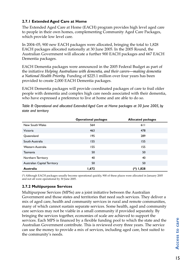#### **2.7.1 Extended Aged Care at Home**

The Extended Aged Care at Home (EACH) program provides high level aged care to people in their own homes, complementing Community Aged Care Packages, which provide low level care.

In 2004–05, 900 new EACH packages were allocated, bringing the total to 1,828 EACH packages allocated nationally at 30 June 2005. In the 2005 Round, the Australian Government will allocate a further 900 EACH packages and 667 EACH Dementia packages.

EACH Dementia packages were announced in the 2005 Federal Budget as part of the initiative *Helping Australians with dementia, and their carers—making dementia a National Health Priority*. Funding of \$225.1 million over four years has been provided to create 2,000 EACH Dementia packages.

EACH Dementia packages will provide coordinated packages of care to frail older people with dementia and complex high care needs associated with their dementia, who have expressed a preference to live at home and are able to do so.

|                              | <b>Operational packages</b> | <b>Allocated packages</b> |
|------------------------------|-----------------------------|---------------------------|
| New South Wales              | 564                         | 611                       |
| Victoria                     | 463                         | 478                       |
| Queensland                   | 195                         | 289                       |
| South Australia              | 155                         | 155                       |
| Western Australia            | 155                         | 155                       |
| Tasmania                     | 50                          | 50                        |
| Northern Territory           | 40                          | 40                        |
| Australian Capital Territory | 50                          | 50                        |
| Australia                    | 1,672                       | (*) 1,828                 |

*Table 8: Operational and allocated Extended Aged Care at Home packages at 30 June 2005, by state and territory* 

(\*) Although EACH packages usually become operational quickly, 900 of these places were allocated in January 2005 and not all were operational by 30 June 2005.

#### **2.7.2 Multipurpose Services**

Multipurpose Services (MPSs) are a joint initiative between the Australian Government and those states and territories that need such services. They deliver a mix of aged care, health and community services in rural and remote communities, many of which cannot sustain separate services. Some health, aged and community care services may not be viable in a small community if provided separately. By bringing the services together, economies of scale are achieved to support the services. Each MPS is financed by a flexible funding pool to which the state and the Australian Government contribute. This is reviewed every three years. The service can use the money to provide a mix of services, including aged care, best suited to the community's needs.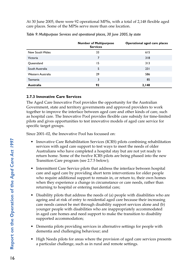At 30 June 2005, there were 92 operational MPSs, with a total of 2,148 flexible aged care places. Some of the MPSs serve more than one location.

|                   | <b>Number of Multipurpose</b><br><b>Services</b> | Operational aged care places |
|-------------------|--------------------------------------------------|------------------------------|
| New South Wales   | 33                                               | 615                          |
| Victoria          | 7                                                | 318                          |
| Queensland        | 15                                               | 313                          |
| South Australia   | 5                                                | 231                          |
| Western Australia | 29                                               | 586                          |
| Tasmania          | 3                                                | 85                           |
| Australia         | 92                                               | 2,148                        |

*Table 9: Multipurpose Services and operational places, 30 June 2005, by state*

#### **2.7.3 Innovative Care Services**

The Aged Care Innovative Pool provides the opportunity for the Australian Government, state and territory governments and approved providers to work together to improve the interface between aged care and other kinds of care, such as hospital care. The Innovative Pool provides flexible care subsidy for time-limited pilots and gives opportunities to test innovative models of aged care service for specific target groups.

Since 2001–02, the Innovative Pool has focussed on:

- Innovative Care Rehabilitation Services (ICRS) pilots combining rehabilitation services with aged care support to test ways to meet the needs of older Australians who have completed a hospital stay but are not yet ready to return home. Some of the twelve ICRS pilots are being phased into the new Transition Care program (see 2.7.5 below);
- Intermittent Care Service pilots that address the interface between hospital care and aged care by providing short term interventions for older people who require additional support to remain in, or return to, their own homes when they experience a change in circumstance or care needs, rather than returning to hospital or entering residential care;
- Disability pilots that address the needs of (a) people with disabilities who are ageing and at risk of entry to residential aged care because their increasing care needs cannot be met through disability support services alone and (b) younger people with disabilities who are inappropriately accommodated in aged care homes and need support to make the transition to disability supported accommodation;
- Dementia pilots providing services in alternative settings for people with dementia and challenging behaviour; and
- High Needs pilots for areas where the provision of aged care services presents a particular challenge, such as in rural and remote settings.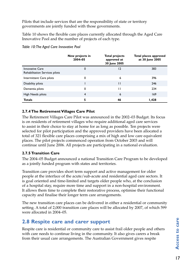Pilots that include services that are the responsibility of state or territory governments are jointly funded with those governments.

Table 10 shows the flexible care places currently allocated through the Aged Care Innovative Pool and the number of projects of each type.

|                                                          | New projects in<br>2004-05 | <b>Total projects</b><br>approved at<br>30 June 2005 | Total places approved<br>at 30 June 2005 |
|----------------------------------------------------------|----------------------------|------------------------------------------------------|------------------------------------------|
| <b>Innovative Care</b><br>Rehabilitation Services pilots | 0                          | 12                                                   | 383                                      |
| Intermittent Care pilots                                 | 0                          | 6                                                    | 396                                      |
| Disability pilots                                        |                            | $\mathsf{H}$                                         | 246                                      |
| Dementia pilots                                          | 0                          | п                                                    | 234                                      |
| High Needs pilots                                        | $\overline{4}$             | 6                                                    | 169                                      |
| <b>Totals</b>                                            | 5                          | 46                                                   | 1,428                                    |

*Table 10: The Aged Care Innovative Pool* 

#### **2.7.4 The Retirement Villages Care Pilot**

The Retirement Villages Care Pilot was announced in the 2002–03 Budget. Its focus is on residents of retirement villages who require additional aged care services to assist in their choice to stay at home for as long as possible. Ten projects were selected for pilot participation and the approved providers have been allocated a total of 321 flexible care places comprising a mix of high and low care equivalent places. The pilot projects commenced operation from October 2003 and will continue until June 2006. All projects are participating in a national evaluation.

#### **2.7.5 Transition Care**

The 2004–05 Budget announced a national Transition Care Program to be developed as a jointly funded program with states and territories.

Transition care provides short term support and active management for older people at the interface of the acute/sub-acute and residential aged care sectors. It is goal oriented and time-limited and targets older people who, at the conclusion of a hospital stay, require more time and support in a non-hospital environment. It allows them time to complete their restorative process, optimise their functional capacity and finalise their longer term care arrangements.

The new transition care places can be delivered in either a residential or community setting. A total of 2,000 transition care places will be allocated by 2007, of which 599 were allocated in 2004–05.

## **2.8 Respite care and carer support**

Respite care is residential or community care to assist frail older people and others with care needs to continue living in the community. It also gives carers a break from their usual care arrangements. The Australian Government gives respite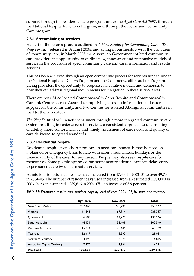support through the residential care program under the *Aged Care Act 1997*, through the National Respite for Carers Program, and through the Home and Community Care program.

#### **2.8.1 Streamlining of services**

As part of the reform process outlined in *A New Strategy for Community Care—The Way Forward* released in August 2004, and acting in partnership with the providers of community care, in March 2005 the Australian Government offered community care providers the opportunity to outline new, innovative and responsive models of service in the provision of aged, community care and carer information and respite services

This has been achieved through an open competitive process for services funded under the National Respite for Carers Program and the Commonwealth Carelink Program, giving providers the opportunity to propose collaborative models and demonstrate how they can address regional requirements for integration in these service areas.

There are now 54 co-located Commonwealth Carer Respite and Commonwealth Carelink Centres across Australia, simplifying access to information and carer support for the community, and two Centres for isolated Aboriginal communities in the Northern Territory.

*The Way Forward* will benefit consumers through a more integrated community care system resulting in easier access to services, a consistent approach to determining eligibility, more comprehensive and timely assessment of care needs and quality of care delivered to agreed standards.

#### **2.8.2 Residential respite**

Residential respite gives short term care in aged care homes. It may be used on a planned or emergency basis to help with carer stress, illness, holidays or the unavailability of the carer for any reason. People may also seek respite care for themselves. Some people approved for permanent residential care can delay entry to permanent care by using respite services.

Admissions to residential respite have increased from 47,800 in 2003–04 to over 49,700 in 2004–05. The number of resident days used increased from an estimated 1,001,000 in 2003–04 to an estimated 1,039,616 in 2004–05—an increase of 3.9 per cent.

*Table 11: Estimated respite care resident days by level of care 2004–05, by state and territory*

|                              | High care | Low care | Total     |
|------------------------------|-----------|----------|-----------|
| New South Wales              | 207.468   | 245.799  | 453.267   |
| Victoria                     | 61,543    | 167.814  | 229,357   |
| Oueensland                   | 56,788    | 82,778   | 139.566   |
| South Australia              | 44.131    | 58,409   | 102,540   |
| Western Australia            | 15.324    | 48,445   | 63.769    |
| Tasmania                     | 12,419    | 15,592   | 28.011    |
| Northern Territory           | 4.496     | 2.379    | 6.875     |
| Australian Capital Territory | 7.370     | 8.861    | 16.231    |
| Australia                    | 409,539   | 630,077  | 1,039,616 |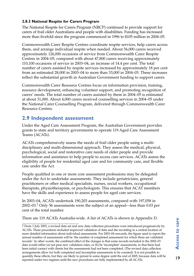#### **2.8.3 National Respite for Carers Program**

The National Respite for Carers Program (NRCP) continued to provide support for carers of frail older Australians and people with disabilities. Funding has increased more than fivefold since the program commenced in 1996 to \$105 million in 2004–05.

Commonwealth Carer Respite Centres coordinate respite services, help carers access them, and arrange individual respite when needed. About 56,000 carers received approximately 126,000 occasions of service from Commonwealth Carer Respite Centres in 2004–05, compared with about 47,800 carers receiving approximately 110,100 occasions of service in 2003–04, an increase of 14.4 per cent. The total number of carers assisted by respite services increased by approximately 18 per cent from an estimated 28,000 in 2003–04 to more than 33,000 in 2004–05. These increases reflect the substantial growth in Australian Government funding to support carers.

Commonwealth Carer Resource Centres focus on information provision, training, resource development, enhancing volunteer support, and promoting recognition of carers' needs. The total number of carers assisted by them in 2004–05 is estimated at about 31,000. About 4,000 carers received counselling services in 2004–05 under the National Carer Counselling Program, delivered through Commonwealth Carer Resource Centres.

## **2.9 Independent assessment**

Under the Aged Care Assessment Program, the Australian Government provides grants to state and territory governments to operate 119 Aged Care Assessment Teams (ACATs).

ACATs comprehensively assess the needs of frail older people using a multidisciplinary and multi-dimensional approach. They assess the medical, physical, psychological, social and restorative care needs of older people and provide information and assistance to help people to access care services. ACATs assess the eligibility of people for residential aged care and for community care, and flexible care under the Act.

People qualified in one or more core assessment professions may be delegated under the Act to undertake assessments. They include geriatricians, general practitioners or other medical specialists, nurses, social workers, occupational therapists, physiotherapists, or psychologists. This ensures that ACAT members have the skills and experience to assess people for aged care services.

In 2003–04, ACATs undertook 190,203 assessments, compared with 197,058 in 2002–03.7 Only 56 assessments were the subject of an appeal—less than 0.03 per cent of the total number.

There are 119 ACATs Australia-wide. A list of ACATs is shown in Appendix D.

<sup>7</sup> From 1 July 2003, a revised data set and new data collection procedures were introduced progressively by ACATs. These procedures included improved validation of data and the recording in a central location of more detailed information about individual assessments. For 2003–04 onwards, the figure used to report the annual number of assessments will be 'the number of completed assessment for which there are validated records'. In other words, the combined effect of the changes is that some records included in the 2002–03 data would either (a) not pass new validation rules, or (b) be 'incomplete' assessments, in that there had been initial contact with clients but the assessments had not been completed. (The revised data collection arrangements allow for both completed and incomplete assessments to be counted). It is not possible to quantify these effects, but they are likely to persist to some degree until the end of 2005, because data will be reported under two regimes until the new procedures are fully implemented by all ACATs.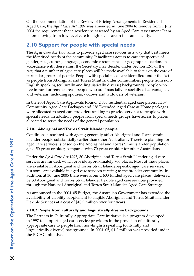On the recommendation of the Review of Pricing Arrangements in Residential Aged Care, the *Aged Care Act 1997* was amended in June 2004 to remove from 1 July 2004 the requirement that a resident be assessed by an Aged Care Assessment Team before moving from low level care to high level care in the same facility.

## **2.10 Support for people with special needs**

The *Aged Care Act 1997* aims to provide aged care services in a way that best meets the identified needs of the community. It facilitates access to care irrespective of gender, race, culture, language, economic circumstance or geographic location. In accordance with these aims, the Secretary may decide, under Section 12-5 of the Act, that a number of aged care places will be made available to focus on the care of particular groups of people. People with special needs are identified under the Act as people from Aboriginal and Torres Strait Islander communities, people from non-English speaking (culturally and linguistically diverse) backgrounds, people who live in rural or remote areas, people who are financially or socially disadvantaged, and veterans, including spouses, widows and widowers of veterans.

In the 2004 Aged Care Approvals Round, 2,053 residential aged care places, 1,157 Community Aged Care Packages and 258 Extended Aged Care at Home packages were allocated to aged care providers seeking to provide services to people with special needs. In addition, people from special needs groups have access to places allocated to serve the needs of the general population.

#### **2.10.1 Aboriginal and Torres Strait Islander people**

Conditions associated with ageing generally affect Aboriginal and Torres Strait Islander people substantially earlier than other Australians. Therefore planning for aged care services is based on the Aboriginal and Torres Strait Islander population aged 50 years or older, compared with 70 years or older for other Australians.

Under the *Aged Care Act 1997*, 30 Aboriginal and Torres Strait Islander aged care services are funded, which provide approximately 700 places. Most of these places are available in Aboriginal and Torres Strait Islander-specific aged care services, but some are available in aged care services catering to the broader community. In addition, at 30 June 2005 there were around 600 funded aged care places, delivered by 30 Aboriginal and Torres Strait Islander flexible aged care services provided through the National Aboriginal and Torres Strait Islander Aged Care Strategy.

As announced in the 2004–05 Budget, the Australian Government has extended the availability of viability supplement to eligible Aboriginal and Torres Strait Islander Flexible Services at a cost of \$10.3 million over four years.

#### **2.10.2 People from culturally and linguistically diverse backgrounds**

The Partners in Culturally Appropriate Care initiative is a program developed in 1997 to support aged care service providers in the provision of culturally appropriate care to people from non-English speaking (culturally and linguistically diverse) backgrounds. In 2004–05, \$1.2 million was provided under the PICAC initiative.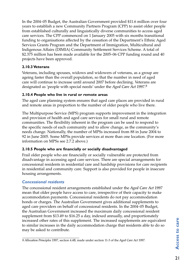In the 2004–05 Budget, the Australian Government provided \$11.6 million over four years to establish a new Community Partners Program (CPP) to assist older people from established culturally and linguistically diverse communities to access aged care services. The CPP commenced on 1 January 2005 with six months transitional funding to organisations affected by the cessation of the Department's Ethnic Aged Services Grants Program and the Department of Immigration, Multicultural and Indigenous Affairs (DIMIA) Community Settlement Services Scheme. A total of \$2.375 million has been made available for the 2005–06 CPP funding round and 40 projects have been approved.

#### **2.10.3 Veterans**

Veterans, including spouses, widows and widowers of veterans, as a group are ageing faster than the overall population, so that the number in need of aged care will continue to increase until around 2007 before declining. Veterans are designated as 'people with special needs' under the *Aged Care Act 1997*. 8

#### **2.10.4 People who live in rural or remote areas**

The aged care planning system ensures that aged care places are provided in rural and remote areas in proportion to the number of older people who live there.

The Multipurpose Service (MPS) program supports improvement in the integration and provision of health and aged care services for small rural and remote communities. The flexibility inherent in the program can be used to respond to the specific needs of each community and to allow change, as the community's needs change. Nationally, the number of MPSs increased from 88 in June 2004 to 92 in June 2005. Some MPSs provide services at more than one location. (For more information on MPSs see 2.7.2 above.)

#### **2.10.5 People who are financially or socially disadvantaged**

Frail older people who are financially or socially vulnerable are protected from disadvantage in accessing aged care services. There are special arrangements for concessional residents in residential care and hardship provisions for care recipients in residential and community care. Support is also provided for people in insecure housing arrangements.

#### *Concessional residents*

The concessional resident arrangements established under the *Aged Care Act 1997* mean that older people have access to care, irrespective of their capacity to make accommodation payments. Concessional residents do not pay accommodation bonds or charges. The Australian Government gives additional supplements to aged care providers on behalf of concessional residents. In the 2004–05 Budget, the Australian Government increased the maximum daily concessional resident supplement from \$13.49 to \$16.25 a day, indexed annually, and proportionately increased other rates of this supplement. The increased supplements are equivalent to similar increases in the daily accommodation charge that residents able to do so may be asked to contribute.

<sup>8</sup> *Allocation Principles 1997*, section 4.4B, made under section 11-3 of the *Aged Care Act 1997*.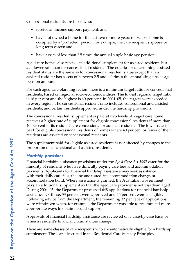Concessional residents are those who:

- receive an income support payment; and
- have not owned a home for the last two or more years (or whose home is occupied by a 'protected' person, for example, the care recipient's spouse or long term carer); and
- have assets of less than 2.5 times the annual single basic age pension.

Aged care homes also receive an additional supplement for assisted residents but at a lower rate than for concessional residents. The criteria for determining assisted resident status are the same as for concessional resident status except that an assisted resident has assets of between 2.5 and 4.0 times the annual single basic age pension amount.

For each aged care planning region, there is a minimum target ratio for concessional residents, based on regional socio-economic indices. The lowest regional target ratio is 16 per cent and the highest is 40 per cent. In 2004–05, the targets were exceeded in every region. The concessional resident ratio includes concessional and assisted residents, and certain residents approved under the hardship provisions.

The concessional resident supplement is paid at two levels. An aged care home receives a higher rate of supplement for eligible concessional residents if more than 40 per cent of its residents are concessional or assisted residents. The lower rate is paid for eligible concessional residents of homes where 40 per cent or fewer of their residents are assisted or concessional residents.

The supplement paid for eligible assisted residents is not affected by changes to the proportion of concessional and assisted residents.

#### *Hardship provisions*

Financial hardship assistance provisions under the *Aged Care Act 1997* cater for the minority of residents who have difficulty paying care fees and accommodation payments. Applicants for financial hardship assistance may seek assistance with their daily care fees, the income tested fee, accommodation charge, or accommodation bond. Where assistance is granted, the Australian Government pays an additional supplement so that the aged care provider is not disadvantaged. During 2004–05, the Department processed 648 applications for financial hardship assistance. Of these, 53 per cent were approved and 15 per cent were ineligible. Following advice from the Department, the remaining 32 per cent of applications were withdrawn when, for example, the Department was able to recommend more appropriate ways to obtain needed support.

Approvals of financial hardship assistance are reviewed on a case-by-case basis or when a resident's financial circumstances change.

There are some classes of care recipients who are automatically eligible for a hardship supplement. These are described in the Residential Care Subsidy Principles.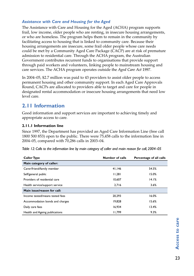### *Assistance with Care and Housing for the Aged*

The Assistance with Care and Housing for the Aged (ACHA) program supports frail, low income, older people who are renting, in insecure housing arrangements, or who are homeless. The program helps them to remain in the community by facilitating access to housing that is linked to community care. Because their housing arrangements are insecure, some frail older people whose care needs could be met by a Community Aged Care Package (CACP) are at risk of premature admission to residential care. Through the ACHA program, the Australian Government contributes recurrent funds to organisations that provide support through paid workers and volunteers, linking people to mainstream housing and care services. The ACHA program operates outside the *Aged Care Act 1997*.

In 2004–05, \$2.7 million was paid to 43 providers to assist older people to access permanent housing and other community support. In each Aged Care Approvals Round, CACPs are allocated to providers able to target and care for people in designated rental accommodation or insecure housing arrangements that need low level care.

## **2.11 Information**

Good information and support services are important to achieving timely and appropriate access to care.

#### **2.11.1 Information line**

Since 1997, the Department has provided an Aged Care Information Line (free call 1800 500 853) open to the public. There were 75,458 calls to the information line in 2004–05, compared with 70,286 calls in 2003–04.

| Table 12: Calls to the information line by main category of caller and main reason for call, 2004-05 |  |  |  |
|------------------------------------------------------------------------------------------------------|--|--|--|
|------------------------------------------------------------------------------------------------------|--|--|--|

| <b>Caller Type</b>              | <b>Number of calls</b> | Percentage of all calls |
|---------------------------------|------------------------|-------------------------|
| Main category of caller:        |                        |                         |
| Carer/friend/family member      | 41,146                 | 54.5%                   |
| Self/general public             | 11,281                 | 15.0%                   |
| Providers of residential care   | 10,607                 | 14.1%                   |
| Health service/support service  | 2.716                  | 3.6%                    |
| Main issue/reason for call:     |                        |                         |
| Income tested/means tested fees | 20,293                 | 16.0%                   |
| Accommodation bonds and charges | 19,828                 | 15.6%                   |
| Daily care fees                 | 16.934                 | 13.4%                   |
| Health and Ageing publications  | 11.799                 | 9.3%                    |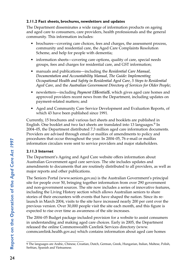### **2.11.2 Fact sheets, brochures, newsletters and updates**

The Department disseminates a wide range of information products on ageing and aged care to consumers, care providers, health professionals and the general community. This information includes:

- brochures—covering care choices, fees and charges, the assessment process, community and residential care, the Aged Care Complaints Resolution Scheme, and help for people with dementia;
- information sheets—covering care options, quality of care, special needs groups, fees and charges for residential care, and GST information;
- manuals and publications—including the *Residential Care Manual*, *Documentation and Accountability Manual*, *The Guide: Implementing Occupational Health and Safety in Residential Aged Care*, *5 Steps to Residential Aged Care*, and the *Australian Government Directory of Services for Older People*;
- newsletters—including *Payment E\$\$ential\$*, which gives aged care homes and approved providers recent news from the Department, including updates on payment-related matters; and
- Aged and Community Care Service Development and Evaluation Reports, of which 43 have been published since 1991.

Currently, 15 brochures and various fact sheets and booklets are published in English. One booklet and two fact sheets are translated into 13 languages.<sup>9</sup> In 2004–05, the Department distributed 7.3 million aged care information documents. Providers are advised through email or mailfax of amendments to policy and procedures that occur throughout the year. In 2004–05, 76 e-mail or mailfax information circulars were sent to service providers and major stakeholders.

### **2.11.3 Internet**

The Department's Ageing and Aged Care website offers information about Australian Government aged care services. The site includes updates and amendments to documents that are routinely distributed to all providers, as well as major reports and other publications.

The Seniors Portal (www.seniors.gov.au) is the Australian Government's principal site for people over 50, bringing together information from over 290 government and non-government sources. The site now includes a series of innovative features, including the Living History section which allows Australian seniors to share stories of their encounters with events that have shaped the nation. Since its relaunch in March 2004, visits to the site have increased nearly 200 per cent over the previous version. Over 30,000 people visit the site each month, and this figure is expected to rise over time as awareness of the site increases.

The 2004–05 Budget package included provision for a website to assist consumers in understanding and making aged care choices. Early in 2005, the Department released the online Commonwealth Carelink Services directory (www. commcarelink.health.gov.au) which contains information about aged care homes

<sup>9</sup> The languages are Arabic, Chinese, Croatian, Dutch, German, Greek, Hungarian, Italian, Maltese, Polish, Serbian, Spanish and Vietnamese.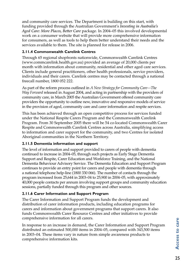and community care services. The Department is building on this start, with funding provided through the Australian Government's *Investing in Australia's Aged Care: More Places, Better Care* package. In 2004–05 this involved developmental work on a consumer website that will provide more comprehensive information for consumers, as well as tools to help them better understand their needs and the services available to them. The site is planned for release in 2006.

### **2.11.4 Commonwealth Carelink Centres**

Through 65 regional shopfronts nationwide, Commonwealth Carelink Centres (www.commcarelink.health.gov.au) provided an average of 20,000 clients per month with information about community, residential and other aged care services. Clients include general practitioners, other health professionals, service providers, individuals and their carers. Carelink centres may be contacted through a national freecall number, 1800 052 222.

As part of the reform process outlined in *A New Strategy for Community Care—The Way Forward* released in August 2004, and acting in partnership with the providers of community care, in March 2005 the Australian Government offered community care providers the opportunity to outline new, innovative and responsive models of service in the provision of aged, community care and carer information and respite services.

This has been achieved through an open competitive process for services funded under the National Respite Carers Program and the Commonwealth Carelink Program. From 30 September 2005 there will be 54 co-located Commonwealth Carer Respite and Commonwealth Carelink Centres across Australia, simplifying access to information and carer support for the community, and two Centres for isolated Aboriginal communities in the Northern Territory.

### **2.11.5 Dementia information and support**

The level of information and support provided to carers of people with dementia continued to increase in 2004–05, through such projects as Early Stage Dementia Support and Respite, Carer Education and Workforce Training, and the National Dementia Behaviour Advisory Service. The Dementia Education and Support Program continues to provide an entry point for carers and people with dementia through a national telephone help-line (1800 330 066). The number of contacts through the program increased from 25,644 in 2003–04 to 25,900 in 2004–05, with approximately 40,000 people contacts per annum involving support groups and community education sessions, partially funded through this program and other sources.

### **2.11.6 Carer Information and Support Program**

The Carer Information and Support Program funds the development and distribution of carer information products, including education programs for carers and information about government programs that support carers. It also funds Commonwealth Carer Resource Centres and other initiatives to provide comprehensive information for all carers.

In response to an increase in demand, the Carer Information and Support Program distributed an estimated 500,000 items in 2004–05, compared with 343,500 items in 2003–04. These items vary in nature from simple awareness products to comprehensive information kits.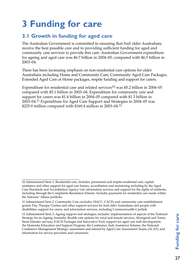# **3 Funding for care**

# **3.1 Growth in funding for aged care**

The Australian Government is committed to ensuring that frail older Australians receive the best possible care and to providing sufficient funding for aged and community care services to provide this care. Australian Government expenditure for ageing and aged care was \$6.7 billion in 2004–05, compared with \$6.5 billion in 2003–04.

There has been increasing emphasis on non-residential care options for older Australians including Home and Community Care, Community Aged Care Packages, Extended Aged Care at Home packages, respite funding and support for carers.

Expenditure for residential care and related services<sup>10</sup> was \$5.2 billion in 2004–05 compared with \$5.1 billion in 2003–04. Expenditure for community care and support for carers was \$1.4 billion in 2004–05 compared with \$1.3 billion in 2003–04.11 Expenditure for Aged Care Support and Strategies in 2004–05 was \$225.9 million compared with \$169.4 million in 2003–04.12

<sup>10</sup> Administered Item 1: Residential care, includes: permanent and respite residential care; capital assistance and other support for aged care homes, accreditation and monitoring including by the Aged Care Standards and Accreditation Agency Ltd; information services and support for the rights of residents, including through the Complaints Resolution Scheme. Includes payments for residential care made within the Veterans' Affairs portfolio.

<sup>11</sup> Administered Item 2: Community Care, includes: HACC, CACPs and community care establishment grants; Day Therapy Centres and other support services for frail older Australians and people with disabilities; support for carers; and information services, including Commonwealth Carelink.

<sup>12</sup> Administered Item 3, Ageing support and strategies, includes: implementation of aspects of the National Strategy for an Ageing Australia; flexible care options for rural and remote services, Aboriginal and Torres Strait Islander services, EACH Packages and Innovative Pool; support for aged care staff development; the Dementia Education and Support Program; the Continence Aids Assistance Scheme; the National Continence Management Strategy; assessment and referral by Aged Care Assessment Teams (ACAT); and information for service providers and consumers.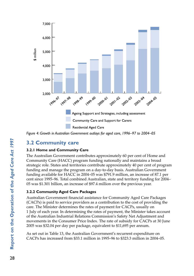

*Figure 4: Growth in Australian Government outlays for aged care, 1996–97 to 2004–05*

## **3.2 Community care**

#### **3.2.1 Home and Community Care**

The Australian Government contributes approximately 60 per cent of Home and Community Care (HACC) program funding nationally and maintains a broad strategic role. States and territories contribute approximately 40 per cent of program funding and manage the program on a day-to-day basis. Australian Government funding available for HACC in 2004–05 was \$791.9 million, an increase of 87.1 per cent since 1995–96. Total combined Australian, state and territory funding for 2004– 05 was \$1.301 billion, an increase of \$97.4 million over the previous year.

### **3.2.2 Community Aged Care Packages**

Australian Government financial assistance for Community Aged Care Packages (CACPs) is paid to service providers as a contribution to the cost of providing the care. The Minister determines the rates of payment for CACPs, usually on 1 July of each year. In determining the rates of payment, the Minister takes account of the Australian Industrial Relations Commission's Safety Net Adjustment and movements in the Consumer Price Index. The rate of subsidy for CACPs at 30 June 2005 was \$32.04 per day per package, equivalent to \$11,695 per annum.

As set out in Table 13, the Australian Government's recurrent expenditure on CACPs has increased from \$33.1 million in 1995–96 to \$323.3 million in 2004–05.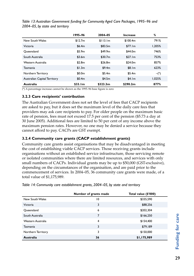|                              | 1995–96 | 2004-05   | Increase | %      |
|------------------------------|---------|-----------|----------|--------|
| New South Wales              | \$12.7m | \$113.1m  | \$100.4m | 791%   |
| Victoria                     | \$6.4m  | \$83.5m   | \$77.1m  | 1.205% |
| Oueensland                   | \$5.9m  | \$49.9m\$ | \$44.0m  | 746%   |
| South Australia              | \$3.6m  | \$30.7m   | \$27.1m  | 753%   |
| Western Australia            | \$2.8m  | \$26.8m   | \$24.0m  | 857%   |
| Tasmania                     | \$1.3m  | \$9.4m    | \$8.1m   | 623%   |
| Northern Territory           | \$0.0m  | \$5.4m    | \$5.4m   | $-(*)$ |
| Australian Capital Territory | \$0.4m  | \$4.5m    | \$4.1m   | 1.025% |
| <b>Australia</b>             | \$33.1m | \$323.3m  | \$290.2m | 877%   |

*Table 13: Australian Government funding for Community Aged Care Packages, 1995–96 and 2004–05, by state and territory*

(\*) A percentage increase cannot be shown as the 1995–96 base figure is zero

#### **3.2.3 Care recipients' contribution**

The Australian Government does not set the level of fees that CACP recipients are asked to pay, but it does set the maximum level of the daily care fees that providers may ask care recipients to pay. For older people on the maximum basic rate of pension, fees must not exceed 17.5 per cent of the pension (\$5.73 a day at 30 June 2005). Additional fees are limited to 50 per cent of any income above the maximum pension rates. However, no one may be denied a service because they cannot afford to pay. CACPs are GST exempt.

#### **3.2.4 Community care grants (CACP establishment grants)**

Community care grants assist organisations that may be disadvantaged in meeting the cost of establishing viable CACP services. Those receiving grants include organisations without an established service infrastructure, those servicing remote or isolated communities where there are limited resources, and services with only small numbers of CACPs. Individual grants may be up to \$50,000 (GST-exclusive), depending on the circumstances of the organisation, and are paid prior to the commencement of services. In 2004–05, 36 community care grants were made, of a total value of \$1,175,989.

*Table 14: Community care establishment grants, 2004–05, by state and territory*

|                    | Number of grants made | Total value (\$'000) |
|--------------------|-----------------------|----------------------|
| New South Wales    | 10                    | \$335,590            |
| Victoria           | 3                     | \$88,256             |
| Queensland         | 6                     | \$202,304            |
| South Australia    | 7                     | \$166,250            |
| Western Australia  | 4                     | \$154,400            |
| Tasmania           | 3                     | \$79,189             |
| Northern Territory | 3                     | \$150,000            |
| Australia          | 36                    | \$1,175,989          |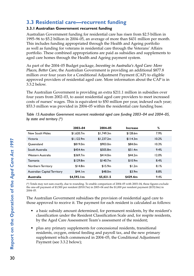# **3.3 Residential care—recurrent funding**

### **3.3.1 Australian Government recurrent funding**

Australian Government funding for residential care has risen from \$2.5 billion in 1995–96 to \$5.2 billion in 2004–05, an average of more than \$431 million per month. This includes funding appropriated through the Health and Ageing portfolio as well as funding for veterans in residential care through the Veterans' Affairs portfolio. These combined appropriations are paid as subsidies and supplements to aged care homes through the Health and Ageing payment system.

As part of the 2004–05 Budget package, *Investing in Australia's Aged Care: More Places, Better Care*, the Australian Government is providing an additional \$877.8 million over four years for a Conditional Adjustment Payment (CAP) to eligible approved providers of residential aged care. More information about the CAP is in 3.3.2 below.

The Australian Government is providing an extra \$211.1 million in subsidies over four years from 2002–03, to assist residential aged care providers to meet increased costs of nurses' wages. This is equivalent to \$50 million per year, indexed each year; \$53.3 million was provided in 2004–05 within the residential care funding base.

|                              | 2003-04    | 2004-05    | <b>Increase</b> | ℅     |
|------------------------------|------------|------------|-----------------|-------|
| New South Wales              | \$1.620.7m | \$1.749.3m | \$128.6m        | 7.9%  |
| Victoria                     | \$1,122.9m | \$1,237.2m | \$114.3m        | 10.2% |
| Oueensland                   | \$819.0m   | \$903.0m   | \$84.0m         | 10.3% |
| South Australia              | \$454.4m   | \$505.8m   | \$51.4m         | 9.4%  |
| Western Australia            | \$369.7m   | \$414.0m   | \$44.2m\$       | 12.0% |
| Tasmania                     | \$129.8m   | \$140.7m   | \$10.9m         | 8.4%  |
| Northern Territory           | \$14.8m    | \$15.9m    | \$1.2m          | 8.1%  |
| Australian Capital Territory | \$44.1m    | \$48.0m    | \$3.9m          | 8.8%  |
| <b>Australia</b>             | \$4.592.1m | \$5.021.5  | \$429.4m        | 9.4%  |

*Table 15: Australian Government recurrent residential aged care funding 2003–04 and 2004–05, by state and territory (\*)*

(\*) Totals may not sum exactly, due to rounding. To enable comparison of 2004–05 with 2003–04, these figures exclude the one-off payment of \$3,500 per resident (\$518.7m) in 2003–04 and the \$1,000 per resident payment (\$152.0m) in 2004–05.

The Australian Government subsidises the provision of residential aged care to those approved to receive it. The payment for each resident is calculated as follows:

- a basic subsidy amount determined, for permanent residents, by the resident's classification under the Resident Classification Scale and, for respite residents, by the Aged Care Assessment Team's assessment of the resident;
- plus any primary supplements for concessional residents, transitional residents, oxygen, enteral feeding and payroll tax, and the new primary supplement which commenced in 2004–05, the Conditional Adjustment Payment (see 3.3.2 below);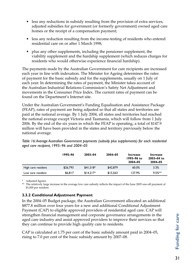- less any reductions in subsidy resulting from the provision of extra services, adjusted subsidies for government (or formerly government) owned aged care homes or the receipt of a compensation payment;
- less any reduction resulting from the income-testing of residents who entered residential care on or after 1 March 1998;
- plus any other supplements, including the pensioner supplement, the viability supplement and the hardship supplement (which reduces charges for residents who would otherwise experience financial hardship).

The payments made by the Australian Government for care recipients are increased each year in line with indexation. The Minister for Ageing determines the rates of payment for the basic subsidy and for the supplements, usually on 1 July of each year. In determining the rates of payment, the Minister takes account of the Australian Industrial Relations Commission's Safety Net Adjustment and movements in the Consumer Price Index. The current rates of payment can be found on the Department's Internet site.

Under the Australian Government's Funding Equalisation and Assistance Package (FEAP), rates of payment are being adjusted so that all states and territories are paid at the national average. By 1 July 2004, all states and territories had reached the national average except Victoria and Tasmania, which will follow from 1 July 2006. By the end of the six years in which the FEAP is operating, a total of \$147.9 million will have been provided in the states and territory previously below the national average.

|                    | 1995–96  | 2003-04    | 2004-05  | Increase<br>1995-96 to<br>2004-05 | Increase<br>2003-04 to<br>2004-05 |
|--------------------|----------|------------|----------|-----------------------------------|-----------------------------------|
| High care resident | \$26,793 | $$41.518*$ | \$42,879 | 60.0%                             | 3.3%                              |
| Low care resident  | \$6,817  | $$14.217*$ | \$15.563 | 127.9%                            | $9.5%**$                          |

*Table 16: Average Australian Government payments (subsidy plus supplements) for each residential aged care recipient, 1995–96 and 2004–05* 

\* Adjusted figures

\*\* The relatively large increase in the average low care subsidy reflects the impact of the June 2005 one-off payment of \$1,000 per resident

### **3.3.2 Conditional Adjustment Payment**

In the 2004–05 Budget package, the Australian Government allocated an additional \$877.8 million over four years for a new and additional Conditional Adjustment Payment (CAP) to eligible approved providers of residential aged care. CAP will strengthen financial management and corporate governance arrangements in the aged care industry and assist approved providers to improve their services so that they can continue to provide high quality care to residents.

CAP is calculated at 1.75 per cent of the basic subsidy amount paid in 2004–05, rising to 7.0 per cent of the basic subsidy amount by 2007–08.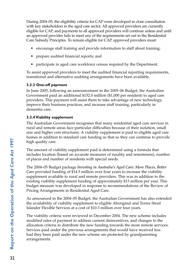During 2004–05, the eligibility criteria for CAP were developed in close consultation with key stakeholders in the aged care sector. All approved providers are currently eligible for CAP, and payments to all approved providers will continue unless and until an approved provider fails to meet any of the requirements set out in the Residential Care Subsidy Principles. To remain eligible for CAP, approved providers must:

- encourage staff training and provide information to staff about training;
- prepare audited financial reports; and
- participate in aged care workforce census required by the Department.

To assist approved providers to meet the audited financial reporting requirements, transitional and alternative auditing arrangements have been available.

### **3.3.3 One-off payment**

In June 2005, following an announcement in the 2005–06 Budget, the Australian Government paid an additional \$152.0 million (\$1,000 per resident) to aged care providers. This payment will assist them to take advantage of new technology, improve their business practices, and increase staff training, particularly in dementia care.

### **3.3.4 Viability supplement**

The Australian Government recognises that many residential aged care services in rural and remote areas face particular difficulties because of their isolation, small size and higher cost structures. A viability supplement is paid to eligible aged care homes in addition to standard care funding so that so they can continue to provide high quality care.

The amount of viability supplement paid is determined using a formula that includes location (based on accurate measures of rurality and remoteness), number of places and number of residents with special needs.

The 2004–05 Budget package *Investing in Australia's Aged Care: More Places, Better Care* provided funding of \$14.5 million over four years to increase the viability supplement available to rural and remote providers. This was in addition to the existing viability supplement funding of approximately \$13 million per year. This budget measure was developed in response to recommendations of the Review of Pricing Arrangements in Residential Aged Care.

As announced in the 2004–05 Budget, the Australian Government has also extended the availability of viability supplement to eligible Aboriginal and Torres Strait Islander Flexible Services at a cost of \$10.3 million over four years.

The viability criteria were reviewed in December 2004. The new scheme includes modified rates of payment to address current disincentives, and changes to the allocation criteria to distribute the new funding towards the more remote services. Services paid under the previous arrangements that would have received less had they been paid under the new scheme are protected by grandparenting arrangements.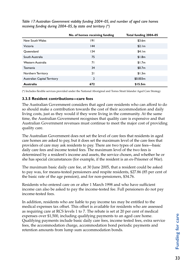|                              | No. of homes receiving funding | Total funding 2004-05 |
|------------------------------|--------------------------------|-----------------------|
| New South Wales              | 191                            | \$3.6m                |
| Victoria                     | 44                             | \$2.1m                |
| Queensland                   | 134                            | \$4.1m                |
| South Australia              | 75                             | \$1.8m                |
| Western Australia            | 71                             | \$1.7m                |
| Tasmania                     | 34                             | \$0.7m                |
| Northern Territory           | 21                             | \$1.3m                |
| Australian Capital Territory | $\overline{2}$                 | \$0.003m              |
| Australia                    | 672                            | \$15.5m               |

*Table 17: Australian Government viability funding 2004–05, and number of aged care homes receiving funding during 2004–05, by state and territory (\*)*

(\*) Includes flexible services provided under the National Aboriginal and Torres Strait Islander Aged Care Strategy

#### **3.3.5 Resident contributions—care fees**

The Australian Government considers that aged care residents who can afford to do so should make a contribution towards the cost of their accommodation and daily living costs, just as they would if they were living in the community. At the same time, the Australian Government recognises that quality care is expensive and that Australian Government revenues must continue to meet the major cost of providing quality care.

The Australian Government does not set the level of care fees that residents in aged care homes are asked to pay, but it does set the maximum level of the care fees that providers of care may ask residents to pay. There are two types of care fees—basic daily care fees and income tested fees. The maximum level of the two fees is determined by a resident's income and assets, the service chosen, and whether he or she has special circumstances (for example, if the resident is an ex-Prisoner of War).

The maximum basic daily care fee, at 30 June 2005, that a resident could be asked to pay was, for means-tested pensioners and respite residents, \$27.86 (85 per cent of the basic rate of the age pension), and for non-pensioners, \$34.76.

Residents who entered care on or after 1 March 1998 and who have sufficient income can also be asked to pay the income-tested fee. Full pensioners do not pay income-tested fees.

In addition, residents who are liable to pay income tax may be entitled to the medical expenses tax offset. This offset is available for residents who are assessed as requiring care at RCS levels 1 to 7. The rebate is set at 20 per cent of medical expenses over \$1,500, including qualifying payments to an aged care home. Qualifying payments include basic daily care fees, income tested fees, extra service fees, the accommodation charge, accommodation bond periodic payments and retention amounts from lump sum accommodation bonds.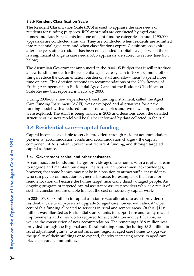### **3.3.6 Resident Classification Scale**

The Resident Classification Scale (RCS) is used to appraise the care needs of residents for funding purposes. RCS appraisals are conducted by aged care homes and classify residents into one of eight funding categories. Around 190,000 appraisals are conducted annually. They are conducted when residents are admitted into residential aged care, and when classifications expire. Classifications expire after one year, after a resident has been on extended hospital leave, or when there is a significant change in care needs. RCS appraisals are subject to review (see 4.3.3 below).

The Australian Government announced in the 2004–05 Budget that it will introduce a new funding model for the residential aged care system in 2006 to, among other things, reduce the documentation burden on staff and allow them to spend more time on care. This decision responds to recommendations of the 2004 Review of Pricing Arrangements in Residential Aged Care and the Resident Classification Scale Review that reported in February 2003.

During 2004–05, a new dependency based funding instrument, called the Aged Care Funding Instrument (ACFI), was developed and alternatives for a new funding model with a reduced number of categories and two new supplements were explored. The ACFI is being trialled in 2005 and decisions about the detailed structure of the new model will be further informed by data collected in the trial.

# **3.4 Residential care—capital funding**

Capital income is available to service providers through resident accommodation payments (accommodation bonds and accommodation charges), the capital component of Australian Government recurrent funding, and through targeted capital assistance.

### **3.4.1 Government capital and other assistance**

Accommodation bonds and charges provide aged care homes with a capital stream to upgrade and maintain buildings. The Australian Government acknowledges, however, that some homes may not be in a position to attract sufficient residents who can pay accommodation payments because, for example, of their rural or remote location or because the homes target financially disadvantaged people. An ongoing program of targeted capital assistance assists providers who, as a result of such circumstances, are unable to meet the cost of necessary capital works.

In 2004–05, \$40.8 million in capital assistance was allocated to assist providers of residential care to improve and upgrade 51 aged care homes, with almost 96 per cent of this funding allocated to services in rural and remote areas. Of this, \$11.8 million was allocated as Residential Care Grants, to support fire and safety related improvements and other works required for accreditation and certification, as well as the construction of new accommodation. The remaining \$28.9 million was provided through the Regional and Rural Building Fund (including \$3.3 million in rural adjustment grants) to assist rural and regional aged care homes to upgrade the quality of their buildings or to expand, thereby increasing access to aged care places for rural communities.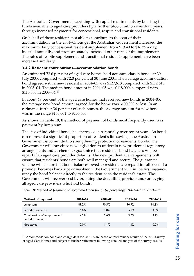The Australian Government is assisting with capital requirements by boosting the funds available to aged care providers by a further \$438.6 million over four years, through increased payments for concessional, respite and transitional residents.

On behalf of those residents not able to contribute to the cost of their accommodation, in the 2004–05 Budget the Australian Government increased the maximum daily concessional resident supplement from \$13.49 to \$16.25 a day, indexed annually, and proportionately increased other rates of this supplement. The rates of respite supplement and transitional resident supplement have been increased similarly.

#### **3.4.2 Resident contributions—accommodation bonds**

An estimated 73.6 per cent of aged care homes held accommodation bonds at 30 July 2005, compared with 72.0 per cent at 30 June 2004. The average accommodation bond agreed with a new resident in 2004–05 was \$127,618 compared with \$112,613 in 2003–04. The median bond amount in 2004–05 was \$118,000, compared with \$110,000 in 2003–04.<sup>13</sup>

In about 48 per cent of the aged care homes that received new bonds in 2004–05, the average new bond amount agreed for the home was \$100,000 or less. In an estimated further 36 per cent of such homes, the average amount for new bonds was in the range \$100,001 to \$150,000.

As shown in Table 18, the method of payment of bonds most frequently used was payment by lump sum.

The size of individual bonds has increased substantially over recent years. As bonds can represent a significant proportion of resident's life savings, the Australian Government is committed to strengthening protection of residents' bonds. The Government will introduce new legislation to underpin new prudential regulatory arrangements and a scheme to guarantee that residents' bond balances will be repaid if an aged care provider defaults. The new prudential arrangements will ensure that residents' bonds are both well managed and secure. The guarantee scheme will ensure that bond balances owed to residents are repaid in full, even if a provider becomes bankrupt or insolvent. The Government will, in the first instance, repay the bond balance directly to the resident or to the resident's estate. The Government will recover cost by pursuing the defaulting provider and/or levying all aged care providers who hold bonds.

| Method of payment                                | $2001 - 02$ | $2002 - 03$ | 2003-04 | 2004-05 |
|--------------------------------------------------|-------------|-------------|---------|---------|
| Lump sum                                         | 89.2%       | 90.5%       | 90.9%   | 91.8%   |
| Periodic payments                                | 6.6%        | 4.8%        | 5.0%    | 4.5%    |
| Combination of lump sum and<br>periodic payments | 4.2%        | 3.6%        | 3.0%    | 3.7%    |
| Not stated                                       | 0.0%        | 1.1%        | 1.1%    | 0.0%    |

13 Accommodation bond and charge data for 2004-05 are based on preliminary results of the 2005 Survey of Aged Care Homes and subject to further refinement following detailed analysis of the survey results.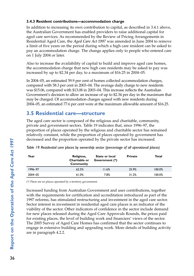### **3.4.3 Resident contributions—accommodation charge**

In addition to increasing its own contribution to capital, as described in 3.4.1 above, the Australian Government has enabled providers to raise additional capital for aged care services. As recommended by the Review of Pricing Arrangements in Residential Aged Care, the *Aged Care Act 1997* was amended in June 2004 to remove a limit of five years on the period during which a high care resident can be asked to pay an accommodation charge. The change applies only to people who entered care on 1 July 2004 or later.

Also to increase the availability of capital to build and improve aged care homes, the accommodation charge that new high care residents may be asked to pay was increased by up to \$2.34 per day, to a maximum of \$16.25 in 2004–05.

In 2004–05, an estimated 59.9 per cent of homes collected accommodation charges, compared with 58.3 per cent in 2003–04. The average daily charge to new residents was \$15.06, compared with \$13.08 in 2003–04. This increase reflects the Australian Government's decision to allow an increase of up to \$2.34 per day in the maximum that may be charged. Of accommodation charges agreed with new residents during 2004–05, an estimated 77.6 per cent were at the maximum allowable amount of \$16.25.

# **3.5 Residential care—structure**

The aged care sector is composed of the religious and charitable, community, private and government sectors. Table 19 indicates that, since 1996–97, the proportion of places operated by the religious and charitable sector has remained relatively constant, while the proportion of places operated by government has decreased and the proportion operated by the private sector has increased.

| Year    | Religious,<br>Charitable or<br>Community | State or local<br>Government (*) | <b>Private</b> | Total  |
|---------|------------------------------------------|----------------------------------|----------------|--------|
| 1996-97 | 62.5%                                    | 11.6%                            | 25.9%          | 100.0% |
| 2004-05 | 61.0%                                    | 7.8%                             | 31.2%          | 100.0% |

*Table 19: Residential care places by ownership sector (percentage of all operational places)*

(\*) There are no places operated by a territory government.

Increased funding from Australian Government and user contributions, together with the requirements for certification and accreditation introduced as part of the 1997 reforms, has stimulated restructuring and investment in the aged care sector. Sector interest in investment in residential aged care places is an indicator of the viability of the sector. Other indicators of confidence in the sector include demand for new places released during the Aged Care Approvals Rounds, the prices paid for existing places, the level of building work and financiers' views of the sector. The 2005 Survey of Aged Care Homes has confirmed that the sector continues to engage in extensive building and upgrading work. More details of building activity are in paragraph 4.2.2.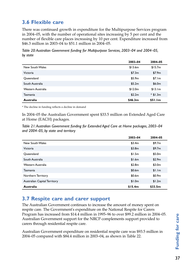# **3.6 Flexible care**

There was continued growth in expenditure for the Multipurpose Services program in 2004–05, with the number of operational sites increasing by 5 per cent and the number of flexible care places increasing by 10 per cent. Expenditure increased from \$46.3 million in 2003–04 to \$51.1 million in 2004–05.

*Table 20: Australian Government funding for Multipurpose Services, 2003–04 and 2004–05, by state*

|                   | 2003-04 | 2004-05    |
|-------------------|---------|------------|
| New South Wales   | \$13.6m | \$15.7m    |
| Victoria          | \$7.3m  | \$7.9m     |
| Queensland        | \$5.9m  | \$7.1m     |
| South Australia   | \$5.2m  | \$6.0m     |
| Western Australia | \$12.0m | \$13.1m    |
| Tasmania          | \$2.2m  | $*$ \$1.3m |
| Australia         | \$46.3m | \$51.1m    |

\* The decline in funding reflects a decline in demand

In 2004–05 the Australian Government spent \$33.5 million on Extended Aged Care at Home (EACH) packages.

*Table 21: Australian Government funding for Extended Aged Care at Home packages, 2003–04 and 2004–05, by state and territory*

|                              | 2003-04 | 2004-05 |
|------------------------------|---------|---------|
| New South Wales              | \$3.4m  | \$9.7m  |
| Victoria                     | \$3.8m  | \$9.7m  |
| Queensland                   | \$1.5m  | \$5.0m  |
| South Australia              | \$1.6m  | \$2.9m  |
| Western Australia            | \$2.8m  | \$3.0m  |
| Tasmania                     | \$0.6m  | \$1.1m  |
| Northern Territory           | \$0.6m  | \$0.9m  |
| Australian Capital Territory | \$1.0m  | \$1.2m  |
| Australia                    | \$15.4m | \$33.5m |

# **3.7 Respite care and carer support**

The Australian Government continues to increase the amount of money spent on respite care. The Government's expenditure on the National Respite for Carers Program has increased from \$14.4 million in 1995–96 to over \$99.2 million in 2004–05. Australian Government support for the NRCP complements support provided to carers through residential respite care.

Australian Government expenditure on residential respite care was \$93.5 million in 2004–05 compared with \$84.4 million in 2003–04, as shown in Table 22.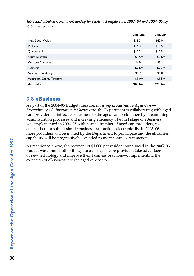*Table 22: Australian Government funding for residential respite care, 2003–04 and 2004–05, by state and territory*

|                              | 2003-04 | 2004-05 |
|------------------------------|---------|---------|
| New South Wales              | \$38.3m | \$42.9m |
| Victoria                     | \$16.3m | \$18.5m |
| Oueensland                   | \$12.2m | \$12.5m |
| South Australia              | \$8.5m  | \$9.6m  |
| Western Australia            | \$4.9m  | \$5.1m  |
| Tasmania                     | \$2.6m  | \$2.7m  |
| Northern Territory           | \$0.7m  | \$0.8m  |
| Australian Capital Territory | \$1.0m  | \$1.5m  |
| <b>Australia</b>             | \$84.4m | \$93.5m |

## **3.8 eBusiness**

As part of the 2004–05 Budget measure, *Investing in Australia's Aged Care— Streamlining administration for better care*, the Department is collaborating with aged care providers to introduce eBusiness to the aged care sector, thereby streamlining administration processes and increasing efficiency. The first stage of eBusiness was implemented in 2004–05 with a small number of aged care providers, to enable them to submit simple business transactions electronically. In 2005–06, more providers will be invited by the Department to participate and the eBusiness capability will be progressively extended to more complex transactions.

As mentioned above, the payment of \$1,000 per resident announced in the 2005–06 Budget was, among other things, to assist aged care providers take advantage of new technology and improve their business practices—complementing the extension of eBusiness into the aged care sector.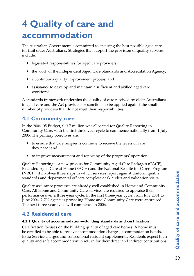# **4 Quality of care and accommodation**

The Australian Government is committed to ensuring the best possible aged care for frail older Australians. Strategies that support the provision of quality services include:

- legislated responsibilities for aged care providers;
- the work of the independent Aged Care Standards and Accreditation Agency;
- a continuous quality improvement process; and
- assistance to develop and maintain a sufficient and skilled aged care workforce.

A standards framework underpins the quality of care received by older Australians in aged care and the Act provides for sanctions to be applied against the small number of providers that do not meet their responsibilities.

# **4.1 Community care**

In the 2004–05 Budget, \$13.7 million was allocated for Quality Reporting in Community Care, with the first three-year cycle to commence nationally from 1 July 2005. The primary objectives are:

- to ensure that care recipients continue to receive the levels of care they need; and
- to improve measurement and reporting of the programs' operation.

Quality Reporting is a new process for Community Aged Care Packages (CACP), Extended Aged Care at Home (EACH) and the National Respite for Carers Program (NRCP). It involves three steps in which services report against uniform quality standards and departmental officers complete desk audits and validation visits.

Quality assurance processes are already well established in Home and Community Care. All Home and Community Care services are required to appraise their performance over a three-year cycle. In the first three-year cycle, from July 2001 to June 2004, 2,709 agencies providing Home and Community Care were appraised. The next three-year cycle will commence in 2006.

# **4.2 Residential care**

### **4.2.1 Quality of accommodation—Building standards and certification**

Certification focuses on the building quality of aged care homes. A home must be certified to be able to receive accommodation charges, accommodation bonds, Extra Service charges and concessional resident supplements. Residents expect high quality and safe accommodation in return for their direct and indirect contributions.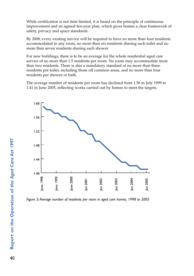While certification is not time limited, it is based on the principle of continuous improvement and an agreed ten-year plan, which gives homes a clear framework of safety, privacy and space standards.

By 2008, every existing service will be required to have no more than four residents accommodated in any room, no more than six residents sharing each toilet and no more than seven residents sharing each shower.

For new buildings, there is to be an average for the whole residential aged care service of no more than 1.5 residents per room. No room may accommodate more than two residents. There is also a mandatory standard of no more than three residents per toilet, including those off common areas, and no more than four residents per shower or bath.

The average number of residents per room has declined from 1.56 in July 1999 to 1.41 in June 2005, reflecting works carried out by homes to meet the targets.



*Figure 5: Average number of residents per room in aged care homes, 1998 to 2005*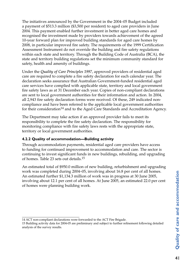The initiatives announced by the Government in the 2004–05 Budget included a payment of \$513.3 million (\$3,500 per resident) to aged care providers in June 2004. This payment enabled further investment in better aged care homes and recognised the investment made by providers towards achievement of the agreed 10-year forward plan for improved building standards for aged care homes by 2008, in particular improved fire safety. The requirements of the 1999 Certification Assessment Instrument do not override the building and fire safety regulations within each state and territory. Through the Building Code of Australia (BCA), the state and territory building regulations set the minimum community standard for safety, health and amenity of buildings.

Under the *Quality of Care Principles 1997*, approved providers of residential aged care are required to complete a fire safety declaration for each calendar year. The declaration seeks assurance that Australian Government-funded residential aged care services have complied with applicable state, territory and local government fire safety laws as at 31 December each year. Copies of non-compliant declarations are sent to local government authorities for their information and action. In 2004, all 2,943 fire safety declaration forms were received. Of these, 249 indicated noncompliance and have been referred to the applicable local government authorities for their consideration<sup>14</sup> and to the Aged Care Standards and Accreditation Agency.

The Department may take action if an approved provider fails to meet its responsibility to complete the fire safety declaration. The responsibility for monitoring compliance with fire safety laws rests with the appropriate state, territory or local government authorities.

### **4.2.2 Quality of accommodation—Building activity**

Through accommodation payments, residential aged care providers have access to funding for continued improvement to accommodation and care. The sector is continuing to invest significant funds in new buildings, rebuilding, and upgrading of homes. Table 23 sets out details.15

An estimated total of \$950.0 million of new building, refurbishment and upgrading work was completed during 2004–05, involving about 16.8 per cent of all homes. An estimated further \$1,134.3 million of work was in progress at 30 June 2005, involving about 12.1 per cent of all homes. At June 2005, an estimated 22.0 per cent of homes were planning building work.

<sup>14</sup> ACT non-compliant declarations were forwarded to the ACT Fire Brigade.

<sup>15</sup> Building activity data for 2004-05 are preliminary and subject to further refinement following detailed analysis of the survey results.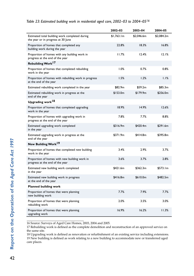|                                                                                      | 2002-03    | 2003-04    | 2004-05    |
|--------------------------------------------------------------------------------------|------------|------------|------------|
| Estimated total building work completed during<br>the year or in progress at 30 June | \$1,763.1m | \$2,046.6m | \$2,084.2m |
| Proportion of homes that completed any<br>building work during the year              | 22.8%      | 18.3%      | 16.8%      |
| Proportion of homes with any building work in<br>progress at the end of the year     | 11.7%      | 12.4%      | 12.1%      |
| Rebuilding Work <sup>17</sup>                                                        |            |            |            |
| Proportion of homes that completed rebuilding<br>work in the year                    | 1.0%       | 0.7%       | 0.8%       |
| Proportion of homes with rebuilding work in progress<br>at the end of the year       | 1.5%       | 1.2%       | 1.1%       |
| Estimated rebuilding work completed in the year                                      | \$82.9m    | \$59.2m    | \$85.3m    |
| Estimated rebuilding work in progress at the<br>end of the year                      | \$153.0m   | \$179.9m   | \$256.0m   |
| Upgrading work <sup>18</sup>                                                         |            |            |            |
| Proportion of homes that completed upgrading<br>work in the year                     | 18.9%      | 14.9%      | 12.6%      |
| Proportion of homes with upgrading work in<br>progress at the end of the year        | 7.8%       | 7.7%       | 8.8%       |
| Estimated upgrading work completed<br>in the year                                    | \$316.9m   | \$420.4m   | \$291.6m   |
| Estimated upgrading work in progress at the<br>end of the year                       | \$371.9m   | \$414.8m   | \$395.8m   |
| New Building Work <sup>19</sup>                                                      |            |            |            |
| Proportion of homes that completed new building<br>work in the year                  | 3.4%       | 2.9%       | 3.7%       |
| Proportion of homes with new building work in<br>progress at the end of the year     | 3.6%       | 3.7%       | 2.8%       |
| Estimated new building work completed<br>in the year                                 | \$421.6m   | \$362.3m   | \$573.1m   |
| Estimated new building work in progress<br>at the end of the year                    | \$416.8m   | \$610.0m   | \$482.5m   |
| <b>Planned building work</b>                                                         |            |            |            |
| Proportion of homes that were planning<br>new building work                          | 7.7%       | 7.9%       | 7.7%       |
| Proportion of homes that were planning<br>rebuilding work                            | 2.0%       | 3.5%       | 3.0%       |
| Proportion of homes that were planning<br>upgrading work                             | 16.9%      | 16.2%      | 11.3%      |

#### *Table 23: Estimated building work in residential aged care, 2002–03 to 2004–0516*

16 Source: Surveys of Aged Care Homes, 2003, 2004 and 2005.

17 Rebuilding work is defined as the complete demolition and reconstruction of an approved service on the same site.

18 Upgrading work is defined as renovation or refurbishment of an existing service including extensions. 19 New building is defined as work relating to a new building to accommodate new or transferred aged care places.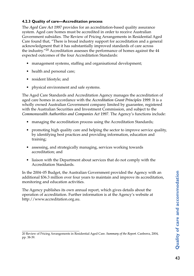### **4.2.3 Quality of care—Accreditation process**

The *Aged Care Act 1997* provides for an accreditation-based quality assurance system. Aged care homes must be accredited in order to receive Australian Government subsidies. The Review of Pricing Arrangements in Residential Aged Care found that, "There is broad industry support for accreditation and a general acknowledgment that it has substantially improved standards of care across the industry."20 Accreditation assesses the performance of homes against the 44 expected outcomes of the four Accreditation Standards:

- management systems, staffing and organisational development;
- health and personal care;
- resident lifestyle; and
- physical environment and safe systems.

The Aged Care Standards and Accreditation Agency manages the accreditation of aged care homes in accordance with the *Accreditation Grant Principles 1999*. It is a wholly owned Australian Government company limited by guarantee, registered with the Australian Securities and Investment Commission, and subject to the *Commonwealth Authorities and Companies Act 1997*. The Agency's functions include:

- managing the accreditation process using the Accreditation Standards;
- promoting high quality care and helping the sector to improve service quality, by identifying best practices and providing information, education and training;
- assessing, and strategically managing, services working towards accreditation; and
- liaison with the Department about services that do not comply with the Accreditation Standards.

In the 2004–05 Budget, the Australian Government provided the Agency with an additional \$36.3 million over four years to maintain and improve its accreditation, monitoring and education activities.

The Agency publishes its own annual report, which gives details about the operation of accreditation. Further information is at the Agency's website at http://www.accreditation.org.au.

<sup>20</sup> Review of Pricing Arrangements in Residential Aged Care. *Summary of the Report.* Canberra, 2004, pp. 38-39.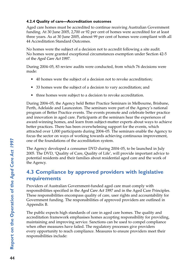### **4.2.4 Quality of care—Accreditation outcomes**

Aged care homes must be accredited to continue receiving Australian Government funding. At 30 June 2005, 2,700 or 92 per cent of homes were accredited for at least three years. As at 30 June 2005, almost 99 per cent of homes were compliant with all 44 Accreditation Standard Outcomes.

No homes were the subject of a decision not to accredit following a site audit. No homes were granted exceptional circumstances exemption under Section 42-5 of the *Aged Care Act 1997*.

During 2004–05, 83 review audits were conducted, from which 76 decisions were made:

- 40 homes were the subject of a decision not to revoke accreditation;
- 33 homes were the subject of a decision to vary accreditation; and
- three homes were subject to a decision to revoke accreditation.

During 2004–05, the Agency held Better Practice Seminars in Melbourne, Brisbane, Perth, Adelaide and Launceston. The seminars were part of the Agency's national program of Better Practice events. The events promote and celebrate better practice and innovation in aged care. Participants at the seminars hear the experiences of award-winning homes, and learn from subject-matter experts about ways to achieve better practices. There has been overwhelming support for the events, which attracted over 1,000 participants during 2004–05. The seminars enable the Agency to focus the sector on ways of working towards achieving continuous improvement, one of the foundations of the accreditation system.

The Agency developed a consumer DVD during 2004–05, to be launched in July 2005. The DVD, 'Quality of Care, Quality of Life', will provide important advice to potential residents and their families about residential aged care and the work of the Agency.

# **4.3 Compliance by approved providers with legislative requirements**

Providers of Australian Government-funded aged care must comply with responsibilities specified in the *Aged Care Act 1997* and in the Aged Care Principles. These responsibilities encompass quality of care, user rights and accountability for Government funding. The responsibilities of approved providers are outlined in Appendix B.

The public expects high standards of care in aged care homes. The quality and accreditation framework emphasises homes accepting responsibility for providing, maintaining and improving service. Sanctions can be used to compel compliance when other measures have failed. The regulatory processes give providers every opportunity to reach compliance. Measures to ensure providers meet their responsibilities include: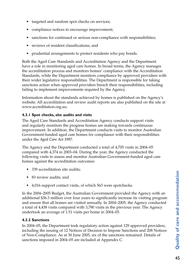- targeted and random spot checks on services;
- compliance notices to encourage improvement;
- sanctions for continued or serious non-compliance with responsibilities;
- reviews of resident classifications; and
- prudential arrangements to protect residents who pay bonds.

Both the Aged Care Standards and Accreditation Agency and the Department have a role in monitoring aged care homes. In broad terms, the Agency manages the accreditation process and monitors homes' compliance with the Accreditation Standards, while the Department monitors compliance by approved providers with their wider legislative responsibilities. The Department is responsible for taking sanctions action when approved providers breach their responsibilities, including failing to implement improvements required by the Agency.

Information about the standards achieved by homes is published on the Agency's website. All accreditation and review audit reports are also published on the site at www.accreditation.org.au.

### **4.3.1 Spot checks, site audits and visits**

The Aged Care Standards and Accreditation Agency conducts support visits and regularly monitors the progress homes are making towards continuous improvement. In addition, the Department conducts visits to monitor Australian Government-funded aged care homes for compliance with their responsibilities under the *Aged Care Act 1997*.

The Agency and the Department conducted a total of 4,705 visits in 2004–05 compared with 4,374 in 2003–04. During the year, the Agency conducted the following visits to assess and monitor Australian Government-funded aged care homes against the accreditation outcomes:

- 339 accreditation site audits;
- 83 review audits; and
- 4,016 support contact visits, of which 563 were spotchecks.

In the 2004–2005 Budget, the Australian Government provided the Agency with an additional \$36.3 million over four years to significantly increase its visiting program and ensure that all homes are visited annually. In 2004–2005, the Agency conducted a total of 4,438 visits compared with 3,780 visits in the previous year. The Agency undertook an average of 1.51 visits per home in 2004–05.

### **4.3.2 Sanctions**

In 2004–05, the Department took regulatory action against 129 approved providers, including the issuing of 12 Notices of Decision to Impose Sanctions and 208 Notices of Non-Compliance. As at 30 June 2005, six of the sanctions remained. Details of sanctions imposed in 2004–05 are included at Appendix C.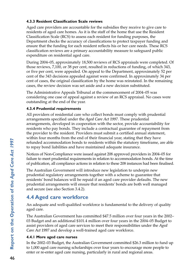### **4.3.3 Resident Classification Scale reviews**

Aged care providers are accountable for the subsidies they receive to give care to residents of aged care homes. As it is the staff of the home that use the Resident Classification Scale (RCS) to assess each resident for funding purposes, the Department checks the accuracy of classifications to protect taxpayer funding and ensure that the funding for each resident reflects his or her care needs. These RCS classification reviews are a primary accountability measure to safeguard public expenditure on residential aged care.

During 2004–05, approximately 18,500 reviews of RCS appraisals were completed. Of those reviews, 7,100, or 38 per cent, resulted in reductions of funding, of which 343, or five per cent, were appealed. On appeal to the Department, approximately 52 per cent of the 343 decisions appealed against were confirmed. In approximately 34 per cent of cases, the original classification by the home was reinstated. In the remaining cases, the review decision was set aside and a new decision substituted.

The Administrative Appeals Tribunal at the commencement of 2004–05 was considering one case of appeal against a review of an RCS appraisal. No cases were outstanding at the end of the year.

### **4.3.4 Prudential requirements**

All providers of residential care who collect bonds must comply with prudential arrangements specified under the *Aged Care Act 1997*. These prudential arrangements, developed in cooperation with the sector, provide accountability for residents who pay bonds. They include a contractual guarantee of repayment from the provider to the resident. Providers must submit a certified annual statement, within four months from the end of their financial year, stating that they have refunded accommodation bonds to residents within the statutory timeframe, are able to repay bond liabilities and have maintained adequate insurance.

Notices of Non-Compliance were issued against 208 approved providers in 2004–05 for failure to meet prudential requirements in relation to accommodation bonds. At the time of publication, all compliance actions in relation to these 208 instances had been finalised.

The Australian Government will introduce new legislation to underpin new prudential regulatory arrangements together with a scheme to guarantee that residents' bond balances will be repaid if an aged care provider defaults. The new prudential arrangements will ensure that residents' bonds are both well managed and secure (see also Section 3.4.2).

# **4.4 Aged care workforce**

An adequate and well-qualified workforce is fundamental to the delivery of quality aged care.

The Australian Government has committed \$47.5 million over four years in the 2002– 03 Budget and an additional \$101.4 million over four years in the 2004–05 Budget to assist providers of aged care services to meet their responsibilities under the *Aged Care Act 1997* and develop a well-trained aged care workforce.

## **4.4.1 More aged care nurses**

In the 2002–03 Budget, the Australian Government committed \$26.3 million to fund up to 1,000 aged care nursing scholarships over four years to encourage more people to enter or re-enter aged care nursing, particularly in rural and regional areas.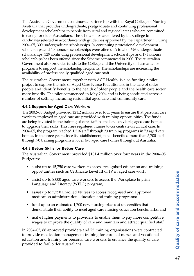The Australian Government continues a partnership with the Royal College of Nursing Australia that provides undergraduate, postgraduate and continuing professional development scholarships to people from rural and regional areas who are committed to caring for older Australians. The scholarships are offered by the College to candidates selected in accordance with guidelines approved by the Department. During 2004–05, 300 undergraduate scholarships, 94 continuing professional development scholarships and 10 honours scholarships were offered. A total of 626 undergraduate scholarships, 329 continuing professional development scholarships and 17 honours scholarships has been offered since the Scheme commenced in 2003. The Australian Government also provides funds to the College and the University of Tasmania for programs to support the scholarship recipients. The scholarships are increasing the availability of professionally qualified aged care staff.

The Australian Government, together with ACT Health, is also funding a pilot project to explore the role of Aged Care Nurse Practitioners in the care of older people and identify benefits to the health of older people and the health care sector more broadly. The pilot commenced in May 2004 and is being conducted across a number of settings including residential aged care and community care.

### **4.4.2 Support for Aged Care Workers**

The 2002–03 Budget provided \$21.2 million over four years to ensure that personal care workers employed in aged care are provided with training opportunities. The funds are being invested in the training of care staff in smaller, less viable, aged care homes to upgrade their skills. This frees registered nurses to concentrate on clinical care. In 2004–05, the program reached 1,216 staff through 33 training programs in 73 aged care homes. In the three years since its establishment, it has benefited more than 5,700 staff through 70 training programs in over 470 aged care homes throughout Australia.

### **4.4.3 Better Skills for Better Care**

The Australian Government provided \$101.4 million over four years in the 2004–05 Budget to:

- assist up to 15,750 care workers to access recognised education and training opportunities such as Certificate Level III or IV in aged care work;
- assist up to 8,000 aged care workers to access the Workplace English Language and Literacy (WELL) program;
- assist up to 5,250 Enrolled Nurses to access recognised and approved medication administration education and training programs;
- fund up to an estimated 1,700 new nursing places at universities that demonstrate their ability to meet aged care nursing education benchmarks; and
- make higher payments to providers to enable them to pay more competitive wages to improve the quality of care and maintain and attract qualified staff.

In 2004–05, 88 approved providers and 72 training organisations were contracted to provide medication management training for enrolled nurses and vocational education and training for personal care workers to enhance the quality of care provided to frail older Australians.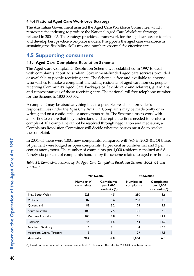### **4.4.4 National Aged Care Workforce Strategy**

The Australian Government assisted the Aged Care Workforce Committee, which represents the industry, to produce the National Aged Care Workforce Strategy, released in 2004–05. The Strategy provides a framework for the aged care sector to plan and develop best practice workplace models. It supports the aged care workforce in sustaining the flexibility, skills mix and numbers essential for effective care.

# **4.5 Supporting consumers**

### **4.5.1 Aged Care Complaints Resolution Scheme**

The Aged Care Complaints Resolution Scheme was established in 1997 to deal with complaints about Australian Government-funded aged care services provided or available to people receiving care. The Scheme is free and available to anyone who wishes to make a complaint, including residents of aged care homes, people receiving Community Aged Care Packages or flexible care and relatives, guardians and representatives of those receiving care. The national toll free telephone number for the Scheme is 1800 550 552.

A complaint may be about anything that is a possible breach of a provider's responsibilities under the *Aged Care Act 1997*. Complaints may be made orally or in writing and on a confidential or anonymous basis. The Scheme aims to work with all parties to ensure that they understand and accept the actions needed to resolve a complaint. If a complaint cannot be resolved through negotiation and mediation, a Complaints Resolution Committee will decide what the parties must do to resolve the complaint.

In 2004–05 there were 1,004 new complaints, compared with 967 in 2003–04. Of these, 84 per cent were lodged as open complaints, 13 per cent as confidential and 3 per cent as anonymous. The number of complaints per 1,000 residents remained at 6.8. Ninety-six per cent of complaints handled by the scheme related to aged care homes.

|                              | 2003-2004               |                                                 | 2004-2005               |                                                 |
|------------------------------|-------------------------|-------------------------------------------------|-------------------------|-------------------------------------------------|
|                              | Number of<br>complaints | <b>Complaints</b><br>per 1,000<br>residents (*) | Number of<br>complaints | <b>Complaints</b><br>per 1,000<br>residents (*) |
| New South Wales              | 223                     | 4.5                                             | 280                     | 5.6                                             |
| Victoria                     | 382                     | 10.6                                            | 290                     | 7.8                                             |
| Queensland                   | 83                      | 3.2                                             | 105                     | 3.9                                             |
| South Australia              | 105                     | 7.5                                             | 101                     | 7.0                                             |
| Western Australia            | 105                     | 8.8                                             | 151                     | 2.1                                             |
| Tasmania                     | 44                      | 11.5                                            | 44                      | 11.0                                            |
| Northern Territory           | 6                       | 16.1                                            | $\overline{4}$          | 10.3                                            |
| Australian Capital Territory | 19                      | 13.1                                            | 29                      | 19.8                                            |
| <b>Australia</b>             | 967                     | 6.8                                             | 1,004                   | 6.8                                             |

*Table 24: Complaints received by the Aged Care Complaints Resolution Scheme, 2003–04 and 2004–05* 

(\*) based on the number of permanent residents at 31 December; the rates for 2003–04 have been revised.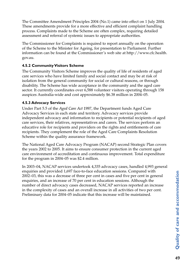The Committee Amendment Principles 2004 (No.1) came into effect on 1 July 2004. These amendments provide for a more effective and efficient complaint handling process. Complaints made to the Scheme are often complex, requiring detailed assessment and referral of systemic issues to appropriate authorities.

The Commissioner for Complaints is required to report annually on the operation of the Scheme to the Minister for Ageing, for presentation to Parliament. Further information can be found at the Commissioner's web site at http://www.cfc.health. gov.au.

### **4.5.2 Community Visitors Scheme**

The Community Visitors Scheme improves the quality of life of residents of aged care services who have limited family and social contact and may be at risk of isolation from the general community for social or cultural reasons, or through disability. The Scheme has wide acceptance in the community and the aged care sector. It currently coordinates over 6,588 volunteer visitors operating through 158 auspices Australia-wide and cost approximately \$6.38 million in 2004–05.

### **4.5.3 Advocacy Services**

Under Part 5.5 of the *Aged Care Act 1997*, the Department funds Aged Care Advocacy Services in each state and territory. Advocacy services provide independent advocacy and information to recipients or potential recipients of aged care services, their relatives, representatives and carers. The services perform an educative role for recipients and providers on the rights and entitlements of care recipients. They complement the role of the Aged Care Complaints Resolution Scheme within the quality assurance framework.

The National Aged Care Advocacy Program (NACAP) second Strategic Plan covers the years 2002 to 2005. It aims to ensure consumer protection in the current aged care environment of accreditation and continuous improvement. Total expenditure for the program in 2004–05 was \$2.4 million.

In 2003–04, NACAP services undertook 4,335 advocacy cases, handled 4,993 general enquiries and provided 1,697 face-to-face education sessions. Compared with 2002–03, this was a decrease of three per cent in cases and five per cent in general enquiries, and an increase of 70 per cent in education sessions. Although the number of direct advocacy cases decreased, NACAP services reported an increase in the complexity of cases and an overall increase in all activities of two per cent. Preliminary data for 2004–05 indicate that this increase will be maintained.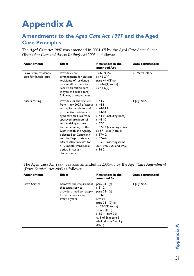# **Appendix A**

# **Amendments to the** *Aged Care Act 1997* **and the Aged Care Principles**

The *Aged Care Act 1997* was amended in 2004–05 by the *Aged Care Amendment (Transition Care and Assets Testing) Act 2005* as follows:

| Amendment:                                       | <b>Effect</b>                                                                                                                                                                                                                                                                                                                                                                                                 | <b>References in the</b><br>amended Act                                                                                                                                                                                                               | Date commenced |
|--------------------------------------------------|---------------------------------------------------------------------------------------------------------------------------------------------------------------------------------------------------------------------------------------------------------------------------------------------------------------------------------------------------------------------------------------------------------------|-------------------------------------------------------------------------------------------------------------------------------------------------------------------------------------------------------------------------------------------------------|----------------|
| Leave from residential<br>care for flexible care | Provides leave<br>arrangements for existing<br>recipients of residential<br>care to allow them to<br>receive transition care<br>(a type of flexible care)<br>following a hospital stay                                                                                                                                                                                                                        | ss.42-2(3A)<br>ss. 42-2(4)<br>para. 44-4(1)(a)<br>ss. 44-4(1) (note)<br>ss. 44-6(3)                                                                                                                                                                   | 21 March 2005  |
| Assets testing                                   | Provides for the transfer<br>from 1 July 2005 of assets<br>testing for residents and<br>prospective residents of<br>aged care facilities from<br>approved providers of<br>residential aged care<br>to the Secretary of the<br>Dept Health and Ageing,<br>delegated to Centrelink<br>and the Dept of Veterans'<br>Affairs. Also provides for<br>a 12-month transitional<br>period in certain<br>circumstances. | $s.44-7$<br>$s.44-8$<br>s. 44-8AA<br>s. 44-8AB<br>s. 44-9 (including note)<br>s. $44 - 10$<br>s. 57-2<br>s. 57-12 (including note)<br>ss. 57-16(2) (note 2)<br>s. 57A-2<br>s. 57A-6<br>s. 85-1 (inserting items<br>39A, 39B, 39C and 39D)<br>$s.96-2$ | I July 2005    |

The *Aged Care Act 1997* was also amended in 2004–05 by the *Aged Care Amendment (Extra Service) Act 2005* as follows:

| Amendment:    | <b>Effect</b>                                                                                                            | <b>References in the</b><br>amended Act                                                                                                                                                                                  | Date commenced |
|---------------|--------------------------------------------------------------------------------------------------------------------------|--------------------------------------------------------------------------------------------------------------------------------------------------------------------------------------------------------------------------|----------------|
| Extra Service | Removes the requirement<br>that extra service<br>providers need to reapply<br>for extra service status<br>every 5 years. | para. $31-1(a)$<br>s. $31-2$<br>para. $33-1(a)$<br>$s. 33-2$<br>Div 34<br>para. $35 - 1(2)(c)$<br>ss. 36-3(1) (note)<br>sp. $63-1(1)(i)$<br>s. 85-1 (item 32)<br>cl. I of Schedule I<br>(definition of "expiry<br>date") | I July 2005    |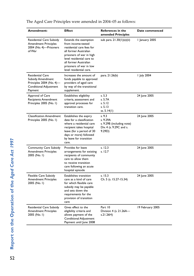| Amendment:                                                                                                                  | <b>Effect</b>                                                                                                                                                                                                                             | <b>References in the</b><br>amended Principles                                       | Date commenced   |
|-----------------------------------------------------------------------------------------------------------------------------|-------------------------------------------------------------------------------------------------------------------------------------------------------------------------------------------------------------------------------------------|--------------------------------------------------------------------------------------|------------------|
| Residential Care Subsidy<br><b>Amendment Principles</b><br>2004 (No. 4)-Prisoners<br>of War                                 | Extends the exemption<br>from income-tested<br>residential care fees for<br>all former Australian<br>prisoners of war in high<br>level residential care to<br>all former Australian<br>prisoners of war in low<br>level residential care. | sub para. 21.30(1)(e)(ii)                                                            | 1 January 2005   |
| <b>Residential Care</b><br><b>Subsidy Amendment</b><br>Principles 2004 (No. 4)-<br><b>Conditional Adjustment</b><br>Payment | Increases the amount of<br>funds payable to approved<br>providers of aged care<br>by way of the transitional<br>supplement.                                                                                                               | para. 21.26(b)                                                                       | I July 2004      |
| Approval of Care<br>Recipients Amendment<br>Principles 2005 (No. I)                                                         | Establishes eligibility<br>criteria, assessment and<br>approval processes for<br>transition care.                                                                                                                                         | s. 5.3<br>s. 5.7A<br>s. 5.12<br>s. 5.13<br>ss. 5.14(1)                               | 24 June 2005     |
| <b>Classification Amendment</b><br>Principles 2005 (No. I)                                                                  | Establishes the expiry<br>date for a classification<br>where a residential care<br>recipient takes hospital<br>leave (for a period of 30<br>days or more) followed<br>by leave for transition<br>care.                                    | s. 9.3<br>s. 9.29A<br>s. 9.29B (including note)<br>Div. 4 (s. 9.29C and s.<br>9.29D) | 24 June 2005     |
| Community Care Subsidy<br><b>Amendment Principles</b><br>2005 (No. I)                                                       | Provides for leave<br>arrangements for existing<br>recipients of community<br>care to allow them<br>to receive transition<br>care following an acute<br>hospital episode                                                                  | s. 12.3<br>s. 12.7                                                                   | 24 June 2005     |
| Flexible Care Subsidy<br><b>Amendment Principles</b><br>2005 (No. I)                                                        | Establishes transition<br>care as a kind of care<br>for which flexible care<br>subsidy may be payable<br>and sets down the<br>requirements for the<br>provision of transition<br>care                                                     | s. 15.3<br>Ch. 5 (s. 15.27-15.34)                                                    | 24 June 2005     |
| Residential Care Subsidy<br><b>Amendment Principles</b><br>2005 (No. I)                                                     | Gives effect to the<br>eligibility criteria and<br>allows payment of the<br><b>Conditional Adjustment</b><br>Payment until June 2008                                                                                                      | Part 10<br>Division 4 (s. 21.26A-<br>s.21.26H)                                       | 19 February 2005 |

The Aged Care Principles were amended in 2004–05 as follows: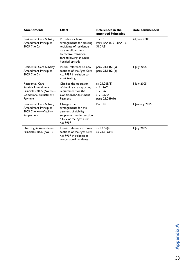| Amendment:                                                                                                             | <b>Effect</b>                                                                                                                                                              | <b>References in the</b><br>amended Principles                           | Date commenced |
|------------------------------------------------------------------------------------------------------------------------|----------------------------------------------------------------------------------------------------------------------------------------------------------------------------|--------------------------------------------------------------------------|----------------|
| Residential Care Subsidy<br><b>Amendment Principles</b><br>2005 (No. 2)                                                | Provides for leave<br>arrangements for existing<br>recipients of residential<br>care to allow them<br>to receive transition<br>care following an acute<br>hospital episode | s. 21.3<br>Part IAA (s. 21.3AA-s.<br>31.3AB)                             | 24 June 2005   |
| Residential Care Subsidy<br><b>Amendment Principles</b><br>2005 (No. 3)                                                | Inserts reference to new<br>sections of the Aged Care<br>Act 1997 in relation to<br>asset testing                                                                          | para. 21.14(2)(a)<br>para. 21.14(2)(b)                                   | I July 2005    |
| <b>Residential Care</b><br><b>Subsidy Amendment</b><br>Principles $2005$ (No. 4)-<br>Conditional Adjustment<br>Payment | Clarifies the operation<br>of the financial reporting<br>requirement for the<br><b>Conditional Adjustment</b><br>Payment                                                   | ss. 21.26B(3)<br>s. 21.26C<br>s. 21.26F<br>s. 21.26FA<br>para. 21.26H(b) | I July 2005    |
| Residential Care Subsidy<br><b>Amendment Principles</b><br>2005 (No. 4)-Viability<br>Supplement                        | Changes the<br>arrangements for the<br>payment of viability<br>supplement under section<br>44-29 of the Aged Care<br>Act 1997                                              | Part 14                                                                  | 1 January 2005 |
| User Rights Amendment<br>Principles 2005 (No. I)                                                                       | Inserts references to new<br>sections of the Aged Care<br>Act 1997 in relation to<br>concessional residents                                                                | ss. 23.56(4)<br>ss. $23.81U(4)$                                          | I July 2005    |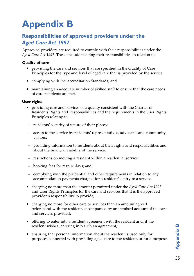# **Appendix B**

# **Responsibilities of approved providers under the**  *Aged Care Act 1997*

Approved providers are required to comply with their responsibilities under the *Aged Care Act 1997*. These include meeting their responsibilities in relation to:

### **Quality of care**

- providing the care and services that are specified in the Quality of Care Principles for the type and level of aged care that is provided by the service;
- complying with the Accreditation Standards; and
- maintaining an adequate number of skilled staff to ensure that the care needs of care recipients are met.

### **User rights**

- providing care and services of a quality consistent with the Charter of Residents Rights and Responsibilities and the requirements in the User Rights Principles relating to:
- residents' security of tenure of their places;
- access to the service by residents' representatives, advocates and community visitors;
- providing information to residents about their rights and responsibilities and about the financial viability of the service;
- restrictions on moving a resident within a residential service;
- booking fees for respite days; and
- complying with the prudential and other requirements in relation to any accommodation payments charged for a resident's entry to a service.
- charging no more than the amount permitted under the *Aged Care Act 1997* and User Rights Principles for the care and services that it is the approved provider's responsibility to provide;
- charging no more for other care or services than an amount agreed beforehand with the resident, accompanied by an itemised account of the care and services provided;
- offering to enter into a resident agreement with the resident and, if the resident wishes, entering into such an agreement;
- ensuring that personal information about the resident is used only for purposes connected with providing aged care to the resident, or for a purpose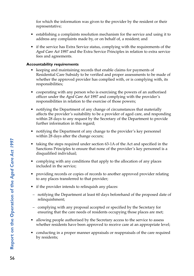for which the information was given to the provider by the resident or their representative;

- establishing a complaints resolution mechanism for the service and using it to address any complaints made by, or on behalf of, a resident; and
- if the service has Extra Service status, complying with the requirements of the *Aged Care Act 1997* and the Extra Service Principles in relation to extra service fees and agreements.

#### **Accountability requirements**

- keeping and maintaining records that enable claims for payments of Residential Care Subsidy to be verified and proper assessments to be made of whether the approved provider has complied with, or is complying with, its responsibilities;
- cooperating with any person who is exercising the powers of an authorised officer under the *Aged Care Act 1997* and complying with the provider's responsibilities in relation to the exercise of those powers;
- notifying the Department of any change of circumstances that materially affects the provider's suitability to be a provider of aged care, and responding within 28 days to any request by the Secretary of the Department to provide further information in this regard;
- notifying the Department of any change to the provider's key personnel within 28 days after the change occurs;
- taking the steps required under section 63-1A of the Act and specified in the Sanctions Principles to ensure that none of the provider's key personnel is a disqualified individual;
- complying with any conditions that apply to the allocation of any places included in the service;
- providing records or copies of records to another approved provider relating to any places transferred to that provider;
- if the provider intends to relinquish any places:
- notifying the Department at least 60 days beforehand of the proposed date of relinquishment;
- complying with any proposal accepted or specified by the Secretary for ensuring that the care needs of residents occupying those places are met;
- allowing people authorised by the Secretary access to the service to assess whether residents have been approved to receive care at an appropriate level;
- conducting in a proper manner appraisals or reappraisals of the care required by residents;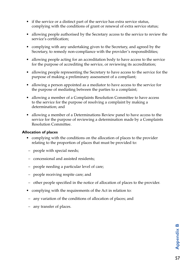- if the service or a distinct part of the service has extra service status, complying with the conditions of grant or renewal of extra service status;
- allowing people authorised by the Secretary access to the service to review the service's certification;
- complying with any undertaking given to the Secretary, and agreed by the Secretary, to remedy non-compliance with the provider's responsibilities;
- allowing people acting for an accreditation body to have access to the service for the purpose of accrediting the service, or reviewing its accreditation;
- allowing people representing the Secretary to have access to the service for the purpose of making a preliminary assessment of a compliant;
- allowing a person appointed as a mediator to have access to the service for the purpose of mediating between the parties to a complaint;
- allowing a member of a Complaints Resolution Committee to have access to the service for the purpose of resolving a complaint by making a determination; and
- allowing a member of a Determinations Review panel to have access to the service for the purpose of reviewing a determination made by a Complaints Resolution Committee.

#### **Allocation of places**

- complying with the conditions on the allocation of places to the provider relating to the proportion of places that must be provided to:
- people with special needs;
- concessional and assisted residents;
- people needing a particular level of care;
- people receiving respite care; and
- other people specified in the notice of allocation of places to the provider.
- complying with the requirements of the Act in relation to:
- any variation of the conditions of allocation of places; and
- any transfer of places.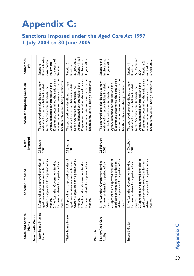# **Appendix C:**

# **Sanctions imposed under the** *Aged Care Act 1997* **1 July 2004 to 30 June 2005**

| <b>State and Service</b><br>Name | Sanction Imposed                                                                                                                                                                                                                 | Imposed<br>Date     | Reason for Imposing Sanction                                                                                                                                                                                                                                                                             | <b>Outcomes</b><br>E                                                                                           |
|----------------------------------|----------------------------------------------------------------------------------------------------------------------------------------------------------------------------------------------------------------------------------|---------------------|----------------------------------------------------------------------------------------------------------------------------------------------------------------------------------------------------------------------------------------------------------------------------------------------------------|----------------------------------------------------------------------------------------------------------------|
| New South Wales                  |                                                                                                                                                                                                                                  |                     |                                                                                                                                                                                                                                                                                                          |                                                                                                                |
| Missionholme Nursing<br>Home     | I. Approval as an approved provider of<br>adviser is appointed for a period of six<br>2. No Australian Government funding<br>aged care services revoked unless an<br>for new residents for a period of six<br>months.<br>months. | 21 January<br>2005  | Department determined the serious risk<br>was an immediate and severe risk to the<br>health, safety or well-being of residents.<br>with all of its responsibilities in relation<br>The approved provider did not comply<br>Agency identified serious risk and the<br>to the Accreditation Standards. The | lifted following<br>to closure of<br>own motion<br>review due<br>Sanctions<br>Service.                         |
| Missionholme<br>Hostel           | I. Approval as an approved provider of<br>adviser is appointed for a period of six<br>2. No Australian Government funding<br>aged care services revoked unless an<br>for new residents for a period of six<br>months.<br>months. | 28 January<br>2005  | Department determined the serious risk<br>was an immediate and severe risk to the<br>health, safety or well-being of residents.<br>with all of its responsibilities in relation<br>The approved provider did not comply<br>Agency identified serious risk and the<br>to the Accreditation Standards. The | Sanction   still<br>30 June 2005.<br>30 June 2005.<br>in place as at<br>Sanction 2<br>lifted on                |
| Victoria                         |                                                                                                                                                                                                                                  |                     |                                                                                                                                                                                                                                                                                                          |                                                                                                                |
| Bayview Aged Care<br>Facility    | 2. Approval as an approved provider of<br>adviser is appointed for a period of six<br>I. No Australian Government funding<br>aged care services revoked unless an<br>for new residents for a period of six<br>months.<br>months. | 26 February<br>2005 | Department determined the serious risk<br>was an immediate and severe risk to the<br>health, safety or well-being of residents.<br>with all of its responsibilities in relation<br>The approved provider did not comply<br>Agency identified serious risk and the<br>to the Accreditation Standards. The | Sanctions still<br>30 June 2005.<br>in place as at                                                             |
| Emerald Glades                   | 2. Approval as an approved provider of<br>adviser is appointed for a period of six<br>I. No Australian Government funding<br>aged care services revoked unless an<br>for new residents for a period of six<br>months.<br>months. | 6 October<br>2004   | was an immediate and severe risk to the<br>Department determined the serious risk<br>health, safety or well-being of residents.<br>with all of its responsibilities in relation<br>The approved provider did not comply<br>Agency identified serious risk and the<br>to the Accreditation Standards. The | 22 December<br>6 April 2005.<br>Sanctions <sub>2</sub><br>expired on<br>Sanction  <br>lifted on<br><b>2004</b> |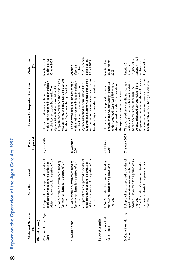# Report on the Operation of the Aged Care Act 1997 60**Report on the Operation of the** *Aged Care Act 1997* 60

| State and Service<br>Name                  | Sanction Imposed                                                                                                                                                                                                                 | Imposed<br>Date    | Reason for Imposing Sanction                                                                                                                                                                                                                                                                             | <b>Outcomes</b><br>E                                                                            |
|--------------------------------------------|----------------------------------------------------------------------------------------------------------------------------------------------------------------------------------------------------------------------------------|--------------------|----------------------------------------------------------------------------------------------------------------------------------------------------------------------------------------------------------------------------------------------------------------------------------------------------------|-------------------------------------------------------------------------------------------------|
| Victoria (cont)                            |                                                                                                                                                                                                                                  |                    |                                                                                                                                                                                                                                                                                                          |                                                                                                 |
| Werribee Terrace Aged<br>Care              | I. Approval as an approved provider of<br>adviser is appointed for a period of six<br>2. No Australian Government funding<br>aged care services revoked unless an<br>for new residents for a period of six<br>months.<br>months. | 7 June 2005        | Department determined the serious risk<br>was an immediate and severe risk to the<br>with all of its responsibilities in relation<br>health, safety or well-being of residents.<br>The approved provider did not comply<br>Agency identified serious risk and the<br>to the Accreditation Standards. The | Sanctions still<br>in place as at<br>30 June 2005.                                              |
| Viewhills Manor                            | 2. Approval as an approved provider of<br>adviser is appointed for a period of six<br>I. No Australian Government funding<br>aged care services revoked unless an<br>for new residents for a period of six<br>months.<br>months. | 8 October<br>2004  | Department determined the serious risk<br>was an immediate and severe risk to the<br>with all of its responsibilities in relation<br>health, safety or well-being of residents.<br>The approved provider did not comply<br>Agency identified serious risk and the<br>to the Accreditation Standards. The | 2005. Sanction<br>2 expired on<br>8 April 2005.<br>15 March<br>Sanction<br>lifted on            |
| South Australia                            |                                                                                                                                                                                                                                  |                    |                                                                                                                                                                                                                                                                                                          |                                                                                                 |
| Eyre Peninsula Old<br>Folks Home           | I. No Australian Government funding<br>for new residents for a period of six<br>months.                                                                                                                                          | 21 October<br>2004 | breach of the Accountability Principles<br>under the Aged Care Act 1997 where<br>the approved provider failed to allow<br>The sanction was imposed due to a<br>the Agency access to the home                                                                                                             | Sanction lifted<br>on 15 March<br>2005.                                                         |
| St Catherine's Nursing<br>H <sub>ome</sub> | I. Approval as an approved provider of<br>adviser is appointed for a period of six<br>2. No Australian Government funding<br>aged care services revoked unless an<br>for new residents for a period of six<br>months.<br>months. | 7 January 2005     | Department determined the serious risk<br>was an immediate and severe risk to the<br>with all of its responsibilities in relation<br>health, safety or well-being of residents.<br>The approved provider did not comply<br>Agency identified serious risk and the<br>to the Accreditation Standards. The | Sanction   still<br>15 June 2005.<br>30 June 2005.<br>in place as at<br>Sanction 2<br>lifted on |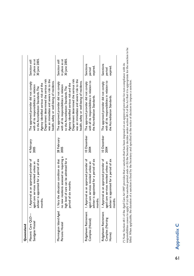| Queensland                                         |                                                                                                                                                                                    |                     |                                                                                                                                                                                                                                                                                                       |                                                   |
|----------------------------------------------------|------------------------------------------------------------------------------------------------------------------------------------------------------------------------------------|---------------------|-------------------------------------------------------------------------------------------------------------------------------------------------------------------------------------------------------------------------------------------------------------------------------------------------------|---------------------------------------------------|
| Masonic Care QLD—<br>Sandgate Hostel               | I. Approval as an approved provider of<br>adviser is appointed for a period of six<br>aged care services revoked unless an<br>months.                                              | 4 February<br>2005  | was an immediate and severe risk to the<br>Department determined the serious risk<br>health, safety or well-being of residents.<br>The approved provider did not comply<br>Agency identified serious risk and the<br>with all its responsibilities in relation<br>to the Accreditation Standards. The | 30 June 2005.<br>in place as at<br>Sanction still |
| Persons Hostel                                     | no new residents assessed as requiring a<br>high level of care can be admitted for a<br>Mornington Island Aged   I. Vary the allocation condition so that<br>period of six months. | 28 February<br>2005 | was an immediate and severe risk to the<br>Department determined the serious risk<br>health, safety or well-being of residents.<br>The approved provider did not comply<br>Agency identified serious risk and the<br>with all its responsibilities in relation<br>to the Accreditation Standards. The | 30 June 2005.<br>in place as at<br>Sanction still |
| Ridgehaven Retirement<br>Complex (Hostel)          | I. Approval as an approved provider of<br>adviser is appointed for a period of six<br>aged care services revoked unless an<br>months.                                              | 10 December<br>2004 | with all its responsibilities in relation to<br>The approved provider did not comply<br>the Accreditation Standards.                                                                                                                                                                                  | Sanctions<br>expired<br>period                    |
| Ridgehaven Retirement<br>Complex (Nursing<br>Home) | I. Approval as an approved provider of<br>adviser is appointed for a period of six<br>aged care services revoked unless an<br>months                                               | 10 December<br>2004 | with all its responsibilities in relation to<br>The approved provider did not comply<br>the Accreditation Standards.                                                                                                                                                                                  | Sanctions<br>expired.<br>period                   |

(\*) Note: Section 68-1 of the Aged Care Act 1997 provides that a sanction that has been imposed on an approved provider for non-compliance with its<br>responsibilities ceases to apply if (a) the sanction period ends or (b) th responsibilities ceases to apply if (a) the sanction period ends or (b) the Secretary decides under section 68-3 of the Act that it is appropriate for the sanction to be (\*) Note: Section 68-1 of the *Aged Care Act 1997* provides that a sanction that has been imposed on an approved provider for non-compliance with its lifted. When applicable, the duration of a sanction is fixed by the Secretary and specified in the notice of decision to impose a sanction.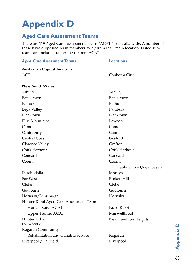# **Appendix D**

# **Aged Care Assessment Teams**

There are 119 Aged Care Assessment Teams (ACATs) Australia wide. A number of these have outposted team members away from their main location. Listed subteams are included under their parent ACAT.

| <b>Aged Care Assessment Teams</b>      | Locations             |
|----------------------------------------|-----------------------|
| <b>Australian Capital Territory</b>    |                       |
| <b>ACT</b>                             | Canberra City         |
|                                        |                       |
| <b>New South Wales</b>                 |                       |
| Albury                                 | Albury                |
| Bankstown                              | Bankstown             |
| <b>Bathurst</b>                        | <b>Bathurst</b>       |
| Bega Valley                            | Pambula               |
| Blacktown                              | Blacktown             |
| <b>Blue Mountains</b>                  | Lawson                |
| Camden                                 | Camden                |
| Canterbury                             | Campsie               |
| <b>Central Coast</b>                   | Gosford               |
| Clarence Valley                        | Grafton               |
| Coffs Harbour                          | Coffs Harbour         |
| Concord                                | Concord               |
| Cooma                                  | Cooma                 |
|                                        | sub-team – Queanbeyan |
| Eurobodalla                            | Moruya                |
| Far West                               | <b>Broken Hill</b>    |
| Glebe                                  | Glebe                 |
| Goulburn                               | Goulburn              |
| Hornsby/Ku-ring-gai                    | Hornsby               |
| Hunter Rural Aged Care Assessment Team |                       |
| Hunter Rural ACAT                      | Kurri Kurri           |
| <b>Upper Hunter ACAT</b>               | Muswellbrook          |
| Hunter Urban<br>(Newcastle)            | New Lambton Heights   |
| Kogarah Community                      |                       |
| Rehabilitation and Geriatric Service   | Kogarah               |
| Liverpool / Fairfield                  | Liverpool             |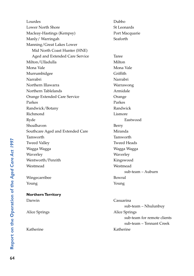| Lourdes                          | Dubbo                       |
|----------------------------------|-----------------------------|
| <b>Lower North Shore</b>         | St Leonards                 |
| Macleay-Hastings (Kempsy)        | Port Macquarie              |
| Manly/Warringah                  | Seaforth                    |
| Manning/Great Lakes Lower        |                             |
| Mid North Coast Hunter (HNE)     |                             |
| Aged and Extended Care Service   | <b>Taree</b>                |
| Milton/Ulladulla                 | Milton                      |
| Mona Vale                        | Mona Vale                   |
| Murrumbidgee                     | Griffith                    |
| Narrabri                         | Narrabri                    |
| Northern Illawarra               | Warrawong                   |
| Northern Tablelands              | Armidale                    |
| Orange Extended Care Service     | Orange                      |
| Parkes                           | Parkes                      |
| Randwick/Botany                  | Randwick                    |
| Richmond                         | Lismore                     |
| Ryde                             | Eastwood                    |
| Shoalhaven                       | Berry                       |
| Southcare Aged and Extended Care | Miranda                     |
| Tamworth                         | Tamworth                    |
| <b>Tweed Valley</b>              | <b>Tweed Heads</b>          |
| Wagga Wagga                      | Wagga Wagga                 |
| Waverley                         | Waverley                    |
| Wentworth/Penrith                | Kingswood                   |
| Westmead                         | Westmead                    |
|                                  | sub-team – Auburn           |
| Wingecarribee                    | Bowral                      |
| Young                            | Young                       |
| <b>Northern Territory</b>        |                             |
| Darwin                           | Casuarina                   |
|                                  | sub-team - Nhulunbuy        |
| Alice Springs                    | Alice Springs               |
|                                  | sub-team for remote clients |

sub-team – Tennant Creek

Katherine Katherine

Report on the Operation of the Aged Care Act 1997 64**Report on the Operation of the** *Aged Care Act 1997*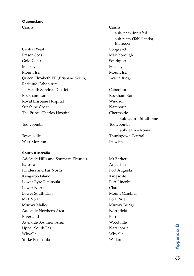### **Queensland**

Central West Longreach Fraser Coast Maryborough Gold Coast Southport Mackay Mackay Mount Isa Mount Isa Queen Elizabeth EII (Brisbane South) Acacia Ridge Redcliffe-Caboolture Health Services District Caboolture Rockhampton Rockhampton Royal Brisbane Hospital Windsor Sunshine Coast Nambour The Prince Charles Hospital Chermside

West Moreton Ipswich

# **South Australia**

Adelaide Hills and Southern Fleurieu Mt Barker Barossa Angaston Angaston Flinders and Far North Port Augusta Kangaroo Island Kingscote Lower Eyre Peninsula<br>
Port Lincoln Lower North Clare Lower South East Mount Gambier Mid North Port Pirie Murray Mallee Murray Bridge Adelaide Northern Area Northfield Riverland Berri Adelaide Southern Area Woodville Upper South East Naracoorte Whyalla Whyalla Yorke Peninsula Wallaroo

Cairns Cairns sub-team–Innisfail sub-team (Tablelands)— Mareeba sub-team – Strathpine Toowoomba Toowoomba sub-team – Roma Townsville Thuringowa Central

65**Appendix B**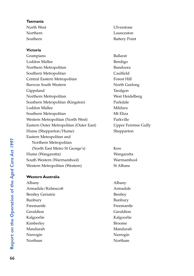## **Tasmania**

## **Victoria**

| Grampians                               | Balla |
|-----------------------------------------|-------|
| Loddon Mallee                           | Benc  |
| Northern Metropolitan                   | Buno  |
| Southern Metropolitan                   | Caul  |
| Central Eastern Metropolitan            | Fore  |
| Barwon South Western                    | Nort  |
| Gippsland                               | Tara  |
| Northern Metropolitan                   | West  |
| Southern Metropolitan (Kingston)        | Park  |
| Loddon Mallee                           | Mild  |
| Southern Metropolitan                   | Mt E  |
| Western Metropolitan (North West)       | Park  |
| Eastern Outer Metropolitan (Outer East) | Upp   |
| Hume (Shepparton/Hume)                  | Shep  |
| Eastern Metropolitan and                |       |
| Northern Metropolitan                   |       |
| (North East Metro St George's)          | Kew   |
| Hume (Wangaratta)                       | Wan   |
| South Western (Warrnambool)             | Warı  |
| Western Metropolitan (Western)          | St Al |

# **Western Australia**

Albany Albany Armadale/Kelmscott Armadale Bentley Geriatric Bentley Bunbury Bunbury Freemantle Freemantle Geraldton Geraldton Kalgoorlie Kalgoorlie Kimberley Broome Mandurah Mandurah Narrogin Narrogin Northam Northam

North West Ulverstone Northern Launceston Southern Battery Point

> Ballarat Bendigo Bundoora Caulfield Forest Hill North Geelong Taralgon West Heidelberg Parkdale Mildura Mt Eliza Parkville Upper Ferntree Gully Shepparton

Wangaratta Warrnambool St Albans